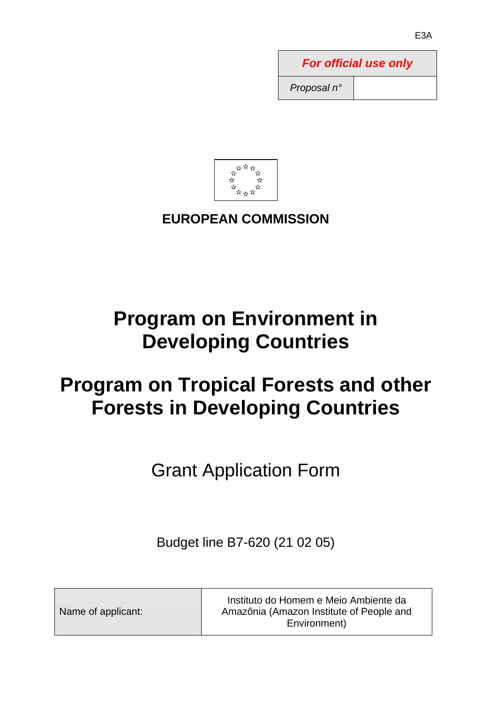| <b>For official use only</b> |  |  |  |  |  |
|------------------------------|--|--|--|--|--|
| Proposal n°                  |  |  |  |  |  |



# **EUROPEAN COMMISSION**

# **Program on Environment in Developing Countries**

# **Program on Tropical Forests and other Forests in Developing Countries**

Grant Application Form

Budget line B7-620 (21 02 05)

Name of applicant:

Instituto do Homem e Meio Ambiente da Amazônia (Amazon Institute of People and Environment)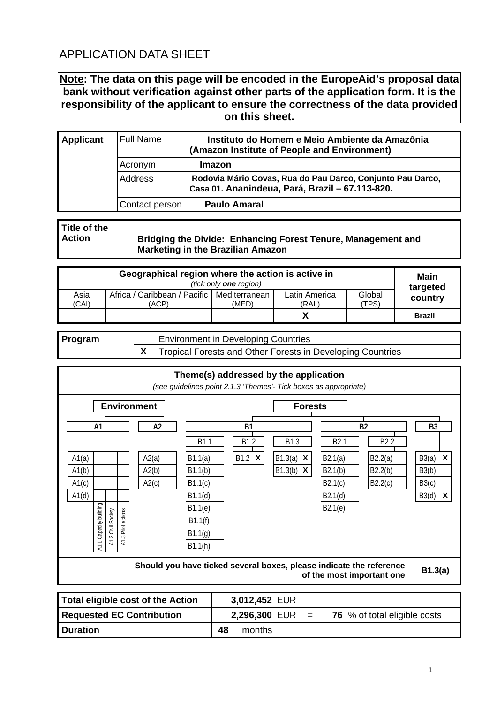# APPLICATION DATA SHEET

# **Note: The data on this page will be encoded in the EuropeAid's proposal data bank without verification against other parts of the application form. It is the responsibility of the applicant to ensure the correctness of the data provided on this sheet.**

| <b>Applicant</b> | <b>Full Name</b> | Instituto do Homem e Meio Ambiente da Amazônia<br>(Amazon Institute of People and Environment)                |
|------------------|------------------|---------------------------------------------------------------------------------------------------------------|
|                  | Acronym          | Imazon                                                                                                        |
|                  | Address          | Rodovia Mário Covas, Rua do Pau Darco, Conjunto Pau Darco,<br>Casa 01. Ananindeua, Pará, Brazil - 67.113-820. |
|                  | Contact person   | <b>Paulo Amaral</b>                                                                                           |

**Title of the Action** 

**Bridging the Divide: Enhancing Forest Tenure, Management and Marketing in the Brazilian Amazon** 

|               | Main<br>targeted                                      |       |                        |                |               |
|---------------|-------------------------------------------------------|-------|------------------------|----------------|---------------|
| Asia<br>(CAI) | Africa / Caribbean / Pacific   Mediterranean<br>(ACP) | (MED) | Latin America<br>(RAL) | Global<br>TPS) | country       |
|               |                                                       |       |                        |                | <b>Brazil</b> |

| Program | <b>Environment in Developing Countries</b>                                           |
|---------|--------------------------------------------------------------------------------------|
|         | $\parallel$ X $\parallel$ Tropical Forests and Other Forests in Developing Countries |



| Total eligible cost of the Action |    | 3,012,452 EUR |                                                                 |
|-----------------------------------|----|---------------|-----------------------------------------------------------------|
| <b>Requested EC Contribution</b>  |    |               | <b>2,296,300 EUR</b> = $\frac{76}{5}$ % of total eligible costs |
| <b>I</b> Duration                 | 48 | months        |                                                                 |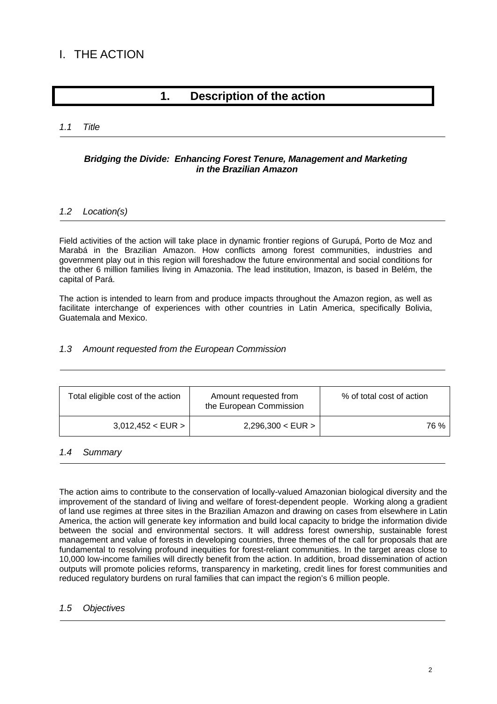# I. THE ACTION

# **1. Description of the action**

# *1.1 Title*

# *Bridging the Divide: Enhancing Forest Tenure, Management and Marketing in the Brazilian Amazon*

## *1.2 Location(s)*

Field activities of the action will take place in dynamic frontier regions of Gurupá, Porto de Moz and Marabá in the Brazilian Amazon. How conflicts among forest communities, industries and government play out in this region will foreshadow the future environmental and social conditions for the other 6 million families living in Amazonia. The lead institution, Imazon, is based in Belém, the capital of Pará.

The action is intended to learn from and produce impacts throughout the Amazon region, as well as facilitate interchange of experiences with other countries in Latin America, specifically Bolivia, Guatemala and Mexico.

## *1.3 Amount requested from the European Commission*

| Total eligible cost of the action | Amount requested from<br>the European Commission | % of total cost of action |
|-----------------------------------|--------------------------------------------------|---------------------------|
| 3,012,452 < EUR >                 | 2,296,300 < EUR                                  | 76 %                      |

# *1.4 Summary*

The action aims to contribute to the conservation of locally-valued Amazonian biological diversity and the improvement of the standard of living and welfare of forest-dependent people. Working along a gradient of land use regimes at three sites in the Brazilian Amazon and drawing on cases from elsewhere in Latin America, the action will generate key information and build local capacity to bridge the information divide between the social and environmental sectors. It will address forest ownership, sustainable forest management and value of forests in developing countries, three themes of the call for proposals that are fundamental to resolving profound inequities for forest-reliant communities. In the target areas close to 10,000 low-income families will directly benefit from the action. In addition, broad dissemination of action outputs will promote policies reforms, transparency in marketing, credit lines for forest communities and reduced regulatory burdens on rural families that can impact the region's 6 million people.

# *1.5 Objectives*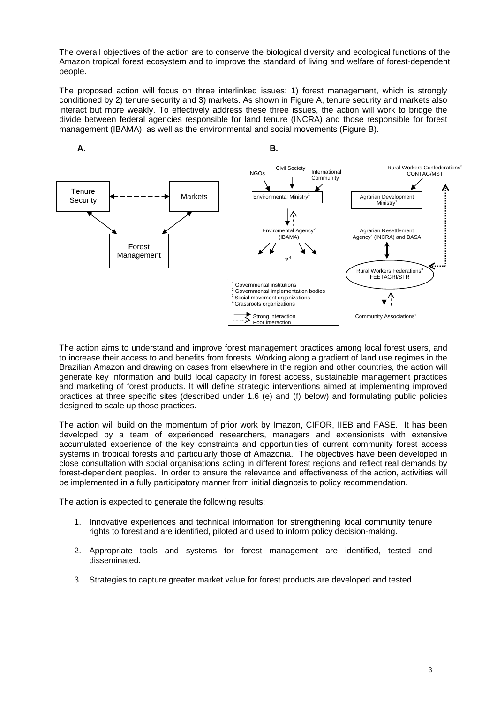The overall objectives of the action are to conserve the biological diversity and ecological functions of the Amazon tropical forest ecosystem and to improve the standard of living and welfare of forest-dependent people.

The proposed action will focus on three interlinked issues: 1) forest management, which is strongly conditioned by 2) tenure security and 3) markets. As shown in Figure A, tenure security and markets also interact but more weakly. To effectively address these three issues, the action will work to bridge the divide between federal agencies responsible for land tenure (INCRA) and those responsible for forest management (IBAMA), as well as the environmental and social movements (Figure B).



The action aims to understand and improve forest management practices among local forest users, and to increase their access to and benefits from forests. Working along a gradient of land use regimes in the Brazilian Amazon and drawing on cases from elsewhere in the region and other countries, the action will generate key information and build local capacity in forest access, sustainable management practices and marketing of forest products. It will define strategic interventions aimed at implementing improved practices at three specific sites (described under 1.6 (e) and (f) below) and formulating public policies designed to scale up those practices.

The action will build on the momentum of prior work by Imazon, CIFOR, IIEB and FASE. It has been developed by a team of experienced researchers, managers and extensionists with extensive accumulated experience of the key constraints and opportunities of current community forest access systems in tropical forests and particularly those of Amazonia. The objectives have been developed in close consultation with social organisations acting in different forest regions and reflect real demands by forest-dependent peoples. In order to ensure the relevance and effectiveness of the action, activities will be implemented in a fully participatory manner from initial diagnosis to policy recommendation.

The action is expected to generate the following results:

- 1. Innovative experiences and technical information for strengthening local community tenure rights to forestland are identified, piloted and used to inform policy decision-making.
- 2. Appropriate tools and systems for forest management are identified, tested and disseminated.
- 3. Strategies to capture greater market value for forest products are developed and tested.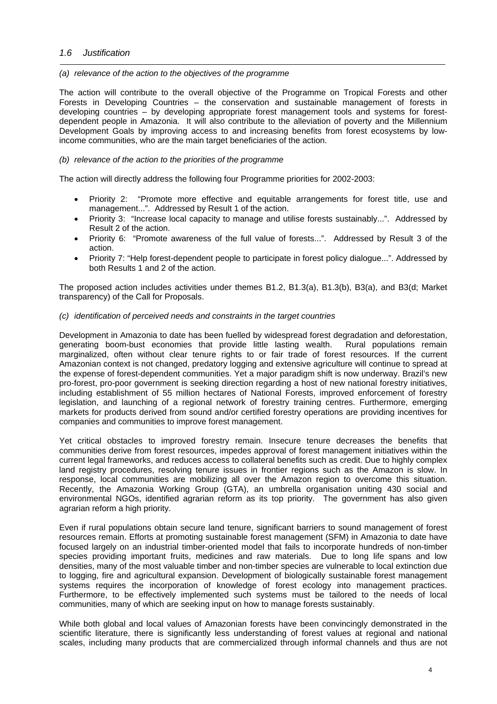## *1.6 Justification*

#### *(a) relevance of the action to the objectives of the programme*

The action will contribute to the overall objective of the Programme on Tropical Forests and other Forests in Developing Countries – the conservation and sustainable management of forests in developing countries – by developing appropriate forest management tools and systems for forestdependent people in Amazonia. It will also contribute to the alleviation of poverty and the Millennium Development Goals by improving access to and increasing benefits from forest ecosystems by lowincome communities, who are the main target beneficiaries of the action.

#### *(b) relevance of the action to the priorities of the programme*

The action will directly address the following four Programme priorities for 2002-2003:

- Priority 2: "Promote more effective and equitable arrangements for forest title, use and management...". Addressed by Result 1 of the action.
- Priority 3: "Increase local capacity to manage and utilise forests sustainably...". Addressed by Result 2 of the action.
- Priority 6: "Promote awareness of the full value of forests...". Addressed by Result 3 of the action.
- Priority 7: "Help forest-dependent people to participate in forest policy dialogue...". Addressed by both Results 1 and 2 of the action.

The proposed action includes activities under themes B1.2, B1.3(a), B1.3(b), B3(a), and B3(d; Market transparency) of the Call for Proposals.

#### *(c) identification of perceived needs and constraints in the target countries*

Development in Amazonia to date has been fuelled by widespread forest degradation and deforestation, generating boom-bust economies that provide little lasting wealth. Rural populations remain marginalized, often without clear tenure rights to or fair trade of forest resources. If the current Amazonian context is not changed, predatory logging and extensive agriculture will continue to spread at the expense of forest-dependent communities. Yet a major paradigm shift is now underway. Brazil's new pro-forest, pro-poor government is seeking direction regarding a host of new national forestry initiatives, including establishment of 55 million hectares of National Forests, improved enforcement of forestry legislation, and launching of a regional network of forestry training centres. Furthermore, emerging markets for products derived from sound and/or certified forestry operations are providing incentives for companies and communities to improve forest management.

Yet critical obstacles to improved forestry remain. Insecure tenure decreases the benefits that communities derive from forest resources, impedes approval of forest management initiatives within the current legal frameworks, and reduces access to collateral benefits such as credit. Due to highly complex land registry procedures, resolving tenure issues in frontier regions such as the Amazon is slow. In response, local communities are mobilizing all over the Amazon region to overcome this situation. Recently, the Amazonia Working Group (GTA), an umbrella organisation uniting 430 social and environmental NGOs, identified agrarian reform as its top priority. The government has also given agrarian reform a high priority.

Even if rural populations obtain secure land tenure, significant barriers to sound management of forest resources remain. Efforts at promoting sustainable forest management (SFM) in Amazonia to date have focused largely on an industrial timber-oriented model that fails to incorporate hundreds of non-timber species providing important fruits, medicines and raw materials. Due to long life spans and low densities, many of the most valuable timber and non-timber species are vulnerable to local extinction due to logging, fire and agricultural expansion. Development of biologically sustainable forest management systems requires the incorporation of knowledge of forest ecology into management practices. Furthermore, to be effectively implemented such systems must be tailored to the needs of local communities, many of which are seeking input on how to manage forests sustainably.

While both global and local values of Amazonian forests have been convincingly demonstrated in the scientific literature, there is significantly less understanding of forest values at regional and national scales, including many products that are commercialized through informal channels and thus are not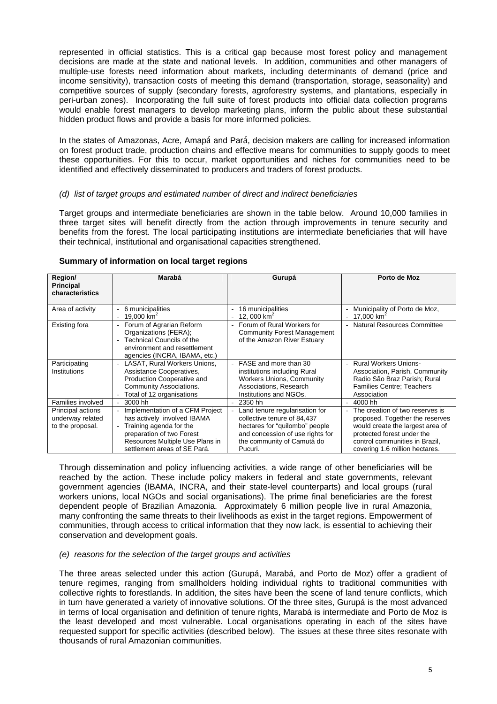represented in official statistics. This is a critical gap because most forest policy and management decisions are made at the state and national levels. In addition, communities and other managers of multiple-use forests need information about markets, including determinants of demand (price and income sensitivity), transaction costs of meeting this demand (transportation, storage, seasonality) and competitive sources of supply (secondary forests, agroforestry systems, and plantations, especially in peri-urban zones). Incorporating the full suite of forest products into official data collection programs would enable forest managers to develop marketing plans, inform the public about these substantial hidden product flows and provide a basis for more informed policies.

In the states of Amazonas, Acre, Amapá and Pará, decision makers are calling for increased information on forest product trade, production chains and effective means for communities to supply goods to meet these opportunities. For this to occur, market opportunities and niches for communities need to be identified and effectively disseminated to producers and traders of forest products.

## *(d) list of target groups and estimated number of direct and indirect beneficiaries*

Target groups and intermediate beneficiaries are shown in the table below. Around 10,000 families in three target sites will benefit directly from the action through improvements in tenure security and benefits from the forest. The local participating institutions are intermediate beneficiaries that will have their technical, institutional and organisational capacities strengthened.

| Region/<br><b>Principal</b><br>characteristics            | Marabá                                                                                                                                                                                    | Gurupá                                                                                                                                                                       | Porto de Moz                                                                                                                                                                                             |
|-----------------------------------------------------------|-------------------------------------------------------------------------------------------------------------------------------------------------------------------------------------------|------------------------------------------------------------------------------------------------------------------------------------------------------------------------------|----------------------------------------------------------------------------------------------------------------------------------------------------------------------------------------------------------|
| Area of activity                                          | 6 municipalities<br>19,000 $km^2$                                                                                                                                                         | 16 municipalities<br>12, 000 $km^2$                                                                                                                                          | Municipality of Porto de Moz,<br>17,000 $km^2$                                                                                                                                                           |
| Existing fora                                             | Forum of Agrarian Reform<br>Organizations (FERA);<br><b>Technical Councils of the</b><br>environment and resettlement<br>agencies (INCRA, IBAMA, etc.)                                    | - Forum of Rural Workers for<br><b>Community Forest Management</b><br>of the Amazon River Estuary                                                                            | - Natural Resources Committee                                                                                                                                                                            |
| Participating<br>Institutions                             | LASAT, Rural Workers Unions,<br>Assistance Cooperatives,<br>Production Cooperative and<br>Community Associations.<br>Total of 12 organisations                                            | - FASE and more than 30<br>institutions including Rural<br><b>Workers Unions, Community</b><br>Associations, Research<br>Institutions and NGOs.                              | <b>Rural Workers Unions-</b><br>Association, Parish, Community<br>Radio São Braz Parish; Rural<br><b>Families Centre; Teachers</b><br>Association                                                        |
| Families involved                                         | 3000 hh                                                                                                                                                                                   | 2350 hh                                                                                                                                                                      | 4000 hh                                                                                                                                                                                                  |
| Principal actions<br>underway related<br>to the proposal. | Implementation of a CFM Project<br>has actively involved IBAMA<br>Training agenda for the<br>preparation of two Forest<br>Resources Multiple Use Plans in<br>settlement areas of SE Pará. | Land tenure regularisation for<br>collective tenure of 84,437<br>hectares for "quilombo" people<br>and concession of use rights for<br>the community of Camutá do<br>Pucuri. | The creation of two reserves is<br>proposed. Together the reserves<br>would create the largest area of<br>protected forest under the<br>control communities in Brazil,<br>covering 1.6 million hectares. |

#### **Summary of information on local target regions**

Through dissemination and policy influencing activities, a wide range of other beneficiaries will be reached by the action. These include policy makers in federal and state governments, relevant government agencies (IBAMA, INCRA, and their state-level counterparts) and local groups (rural workers unions, local NGOs and social organisations). The prime final beneficiaries are the forest dependent people of Brazilian Amazonia. Approximately 6 million people live in rural Amazonia, many confronting the same threats to their livelihoods as exist in the target regions. Empowerment of communities, through access to critical information that they now lack, is essential to achieving their conservation and development goals.

#### *(e) reasons for the selection of the target groups and activities*

The three areas selected under this action (Gurupá, Marabá, and Porto de Moz) offer a gradient of tenure regimes, ranging from smallholders holding individual rights to traditional communities with collective rights to forestlands. In addition, the sites have been the scene of land tenure conflicts, which in turn have generated a variety of innovative solutions. Of the three sites, Gurupá is the most advanced in terms of local organisation and definition of tenure rights, Marabá is intermediate and Porto de Moz is the least developed and most vulnerable. Local organisations operating in each of the sites have requested support for specific activities (described below). The issues at these three sites resonate with thousands of rural Amazonian communities.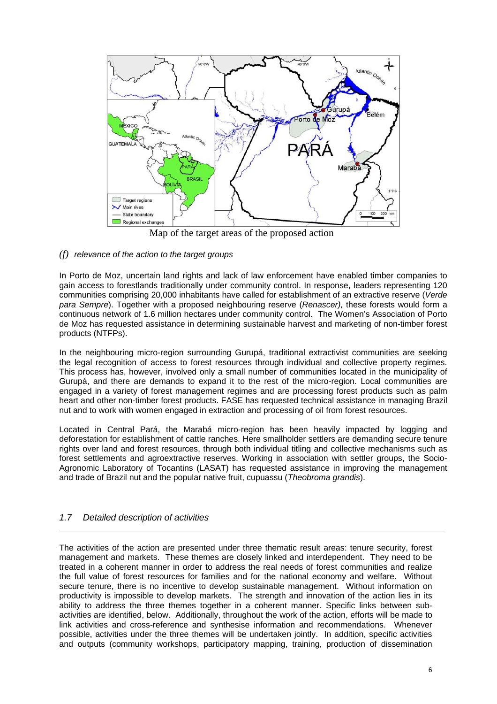

Map of the target areas of the proposed action

# *(f) relevance of the action to the target groups*

In Porto de Moz, uncertain land rights and lack of law enforcement have enabled timber companies to gain access to forestlands traditionally under community control. In response, leaders representing 120 communities comprising 20,000 inhabitants have called for establishment of an extractive reserve (*Verde para Sempre*). Together with a proposed neighbouring reserve (*Renascer),* these forests would form a continuous network of 1.6 million hectares under community control. The Women's Association of Porto de Moz has requested assistance in determining sustainable harvest and marketing of non-timber forest products (NTFPs).

In the neighbouring micro-region surrounding Gurupá, traditional extractivist communities are seeking the legal recognition of access to forest resources through individual and collective property regimes. This process has, however, involved only a small number of communities located in the municipality of Gurupá, and there are demands to expand it to the rest of the micro-region. Local communities are engaged in a variety of forest management regimes and are processing forest products such as palm heart and other non-timber forest products. FASE has requested technical assistance in managing Brazil nut and to work with women engaged in extraction and processing of oil from forest resources.

Located in Central Pará, the Marabá micro-region has been heavily impacted by logging and deforestation for establishment of cattle ranches. Here smallholder settlers are demanding secure tenure rights over land and forest resources, through both individual titling and collective mechanisms such as forest settlements and agroextractive reserves. Working in association with settler groups, the Socio-Agronomic Laboratory of Tocantins (LASAT) has requested assistance in improving the management and trade of Brazil nut and the popular native fruit, cupuassu (*Theobroma grandis*).

# *1.7 Detailed description of activities*

The activities of the action are presented under three thematic result areas: tenure security, forest management and markets. These themes are closely linked and interdependent. They need to be treated in a coherent manner in order to address the real needs of forest communities and realize the full value of forest resources for families and for the national economy and welfare. Without secure tenure, there is no incentive to develop sustainable management. Without information on productivity is impossible to develop markets. The strength and innovation of the action lies in its ability to address the three themes together in a coherent manner. Specific links between subactivities are identified, below. Additionally, throughout the work of the action, efforts will be made to link activities and cross-reference and synthesise information and recommendations. Whenever possible, activities under the three themes will be undertaken jointly. In addition, specific activities and outputs (community workshops, participatory mapping, training, production of dissemination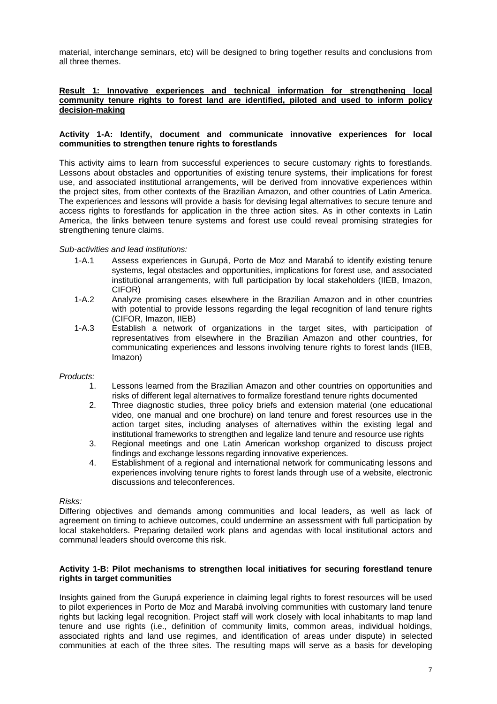material, interchange seminars, etc) will be designed to bring together results and conclusions from all three themes.

## **Result 1: Innovative experiences and technical information for strengthening local community tenure rights to forest land are identified, piloted and used to inform policy decision-making**

#### **Activity 1-A: Identify, document and communicate innovative experiences for local communities to strengthen tenure rights to forestlands**

This activity aims to learn from successful experiences to secure customary rights to forestlands. Lessons about obstacles and opportunities of existing tenure systems, their implications for forest use, and associated institutional arrangements, will be derived from innovative experiences within the project sites, from other contexts of the Brazilian Amazon, and other countries of Latin America. The experiences and lessons will provide a basis for devising legal alternatives to secure tenure and access rights to forestlands for application in the three action sites. As in other contexts in Latin America, the links between tenure systems and forest use could reveal promising strategies for strengthening tenure claims.

#### *Sub-activities and lead institutions:*

- 1-A.1 Assess experiences in Gurupá, Porto de Moz and Marabá to identify existing tenure systems, legal obstacles and opportunities, implications for forest use, and associated institutional arrangements, with full participation by local stakeholders (IIEB, Imazon, CIFOR)
- 1-A.2 Analyze promising cases elsewhere in the Brazilian Amazon and in other countries with potential to provide lessons regarding the legal recognition of land tenure rights (CIFOR, Imazon, IIEB)
- 1-A.3 Establish a network of organizations in the target sites, with participation of representatives from elsewhere in the Brazilian Amazon and other countries, for communicating experiences and lessons involving tenure rights to forest lands (IIEB, Imazon)

# *Products:*

- 1. Lessons learned from the Brazilian Amazon and other countries on opportunities and risks of different legal alternatives to formalize forestland tenure rights documented
- 2. Three diagnostic studies, three policy briefs and extension material (one educational video, one manual and one brochure) on land tenure and forest resources use in the action target sites, including analyses of alternatives within the existing legal and institutional frameworks to strengthen and legalize land tenure and resource use rights
- 3. Regional meetings and one Latin American workshop organized to discuss project findings and exchange lessons regarding innovative experiences.
- 4. Establishment of a regional and international network for communicating lessons and experiences involving tenure rights to forest lands through use of a website, electronic discussions and teleconferences.

#### *Risks:*

Differing objectives and demands among communities and local leaders, as well as lack of agreement on timing to achieve outcomes, could undermine an assessment with full participation by local stakeholders. Preparing detailed work plans and agendas with local institutional actors and communal leaders should overcome this risk.

#### **Activity 1-B: Pilot mechanisms to strengthen local initiatives for securing forestland tenure rights in target communities**

Insights gained from the Gurupá experience in claiming legal rights to forest resources will be used to pilot experiences in Porto de Moz and Marabá involving communities with customary land tenure rights but lacking legal recognition. Project staff will work closely with local inhabitants to map land tenure and use rights (i.e., definition of community limits, common areas, individual holdings, associated rights and land use regimes, and identification of areas under dispute) in selected communities at each of the three sites. The resulting maps will serve as a basis for developing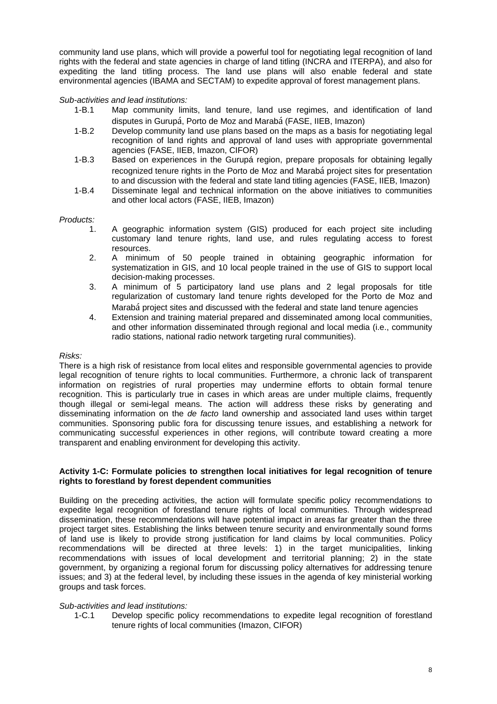community land use plans, which will provide a powerful tool for negotiating legal recognition of land rights with the federal and state agencies in charge of land titling (INCRA and ITERPA), and also for expediting the land titling process. The land use plans will also enable federal and state environmental agencies (IBAMA and SECTAM) to expedite approval of forest management plans.

## *Sub-activities and lead institutions:*

- 1-B.1 Map community limits, land tenure, land use regimes, and identification of land disputes in Gurupá, Porto de Moz and Marabá (FASE, IIEB, Imazon)
- 1-B.2 Develop community land use plans based on the maps as a basis for negotiating legal recognition of land rights and approval of land uses with appropriate governmental agencies (FASE, IIEB, Imazon, CIFOR)
- 1-B.3 Based on experiences in the Gurupá region, prepare proposals for obtaining legally recognized tenure rights in the Porto de Moz and Marabá project sites for presentation to and discussion with the federal and state land titling agencies (FASE, IIEB, Imazon)
- 1-B.4 Disseminate legal and technical information on the above initiatives to communities and other local actors (FASE, IIEB, Imazon)

#### *Products:*

- 1. A geographic information system (GIS) produced for each project site including customary land tenure rights, land use, and rules regulating access to forest resources.
- 2. A minimum of 50 people trained in obtaining geographic information for systematization in GIS, and 10 local people trained in the use of GIS to support local decision-making processes.
- 3. A minimum of 5 participatory land use plans and 2 legal proposals for title regularization of customary land tenure rights developed for the Porto de Moz and Marabá project sites and discussed with the federal and state land tenure agencies
- 4. Extension and training material prepared and disseminated among local communities. and other information disseminated through regional and local media (i.e., community radio stations, national radio network targeting rural communities).

#### *Risks:*

There is a high risk of resistance from local elites and responsible governmental agencies to provide legal recognition of tenure rights to local communities. Furthermore, a chronic lack of transparent information on registries of rural properties may undermine efforts to obtain formal tenure recognition. This is particularly true in cases in which areas are under multiple claims, frequently though illegal or semi-legal means. The action will address these risks by generating and disseminating information on the *de facto* land ownership and associated land uses within target communities. Sponsoring public fora for discussing tenure issues, and establishing a network for communicating successful experiences in other regions, will contribute toward creating a more transparent and enabling environment for developing this activity.

#### **Activity 1-C: Formulate policies to strengthen local initiatives for legal recognition of tenure rights to forestland by forest dependent communities**

Building on the preceding activities, the action will formulate specific policy recommendations to expedite legal recognition of forestland tenure rights of local communities. Through widespread dissemination, these recommendations will have potential impact in areas far greater than the three project target sites. Establishing the links between tenure security and environmentally sound forms of land use is likely to provide strong justification for land claims by local communities. Policy recommendations will be directed at three levels: 1) in the target municipalities, linking recommendations with issues of local development and territorial planning; 2) in the state government, by organizing a regional forum for discussing policy alternatives for addressing tenure issues; and 3) at the federal level, by including these issues in the agenda of key ministerial working groups and task forces.

#### *Sub-activities and lead institutions:*

1-C.1 Develop specific policy recommendations to expedite legal recognition of forestland tenure rights of local communities (Imazon, CIFOR)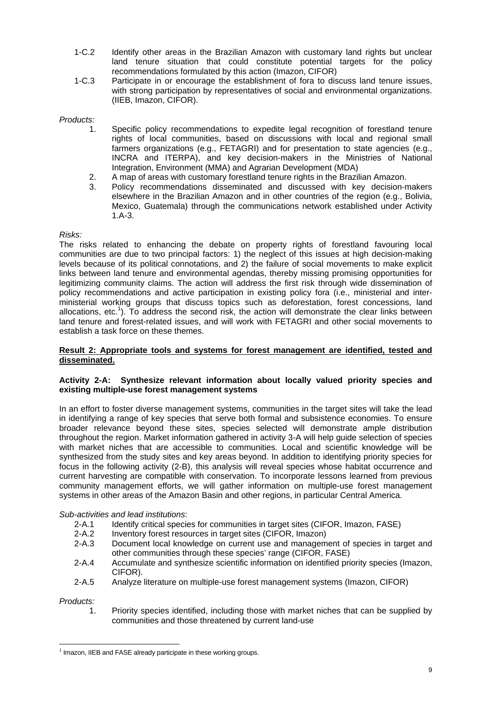- 1-C.2 Identify other areas in the Brazilian Amazon with customary land rights but unclear land tenure situation that could constitute potential targets for the policy recommendations formulated by this action (Imazon, CIFOR)
- 1-C.3 Participate in or encourage the establishment of fora to discuss land tenure issues, with strong participation by representatives of social and environmental organizations. (IIEB, Imazon, CIFOR).

# *Products:*

- 1. Specific policy recommendations to expedite legal recognition of forestland tenure rights of local communities, based on discussions with local and regional small farmers organizations (e.g., FETAGRI) and for presentation to state agencies (e.g., INCRA and ITERPA), and key decision-makers in the Ministries of National Integration, Environment (MMA) and Agrarian Development (MDA)
- 2. A map of areas with customary forestland tenure rights in the Brazilian Amazon.
- 3. Policy recommendations disseminated and discussed with key decision-makers elsewhere in the Brazilian Amazon and in other countries of the region (e.g., Bolivia, Mexico, Guatemala) through the communications network established under Activity 1.A-3.

#### *Risks:*

The risks related to enhancing the debate on property rights of forestland favouring local communities are due to two principal factors: 1) the neglect of this issues at high decision-making levels because of its political connotations, and 2) the failure of social movements to make explicit links between land tenure and environmental agendas, thereby missing promising opportunities for legitimizing community claims. The action will address the first risk through wide dissemination of policy recommendations and active participation in existing policy fora (i.e., ministerial and interministerial working groups that discuss topics such as deforestation, forest concessions, land allocations, etc.<sup>1</sup>). To address the second risk, the action will demonstrate the clear links between land tenure and forest-related issues, and will work with FETAGRI and other social movements to establish a task force on these themes.

#### **Result 2: Appropriate tools and systems for forest management are identified, tested and disseminated.**

## **Activity 2-A: Synthesize relevant information about locally valued priority species and existing multiple-use forest management systems**

In an effort to foster diverse management systems, communities in the target sites will take the lead in identifying a range of key species that serve both formal and subsistence economies. To ensure broader relevance beyond these sites, species selected will demonstrate ample distribution throughout the region. Market information gathered in activity 3-A will help guide selection of species with market niches that are accessible to communities. Local and scientific knowledge will be synthesized from the study sites and key areas beyond. In addition to identifying priority species for focus in the following activity (2-B), this analysis will reveal species whose habitat occurrence and current harvesting are compatible with conservation. To incorporate lessons learned from previous community management efforts, we will gather information on multiple-use forest management systems in other areas of the Amazon Basin and other regions, in particular Central America.

#### *Sub-activities and lead institutions*:

- 2-A.1 Identify critical species for communities in target sites (CIFOR, Imazon, FASE)
- 2-A.2 Inventory forest resources in target sites (CIFOR, Imazon)
- 2-A.3 Document local knowledge on current use and management of species in target and other communities through these species' range (CIFOR, FASE)
- 2-A.4 Accumulate and synthesize scientific information on identified priority species (Imazon, CIFOR).
- 2-A.5 Analyze literature on multiple-use forest management systems (Imazon, CIFOR)

*Products:* 

1. Priority species identified, including those with market niches that can be supplied by communities and those threatened by current land-use

 $\overline{a}$  $1$  Imazon, IIEB and FASE already participate in these working groups.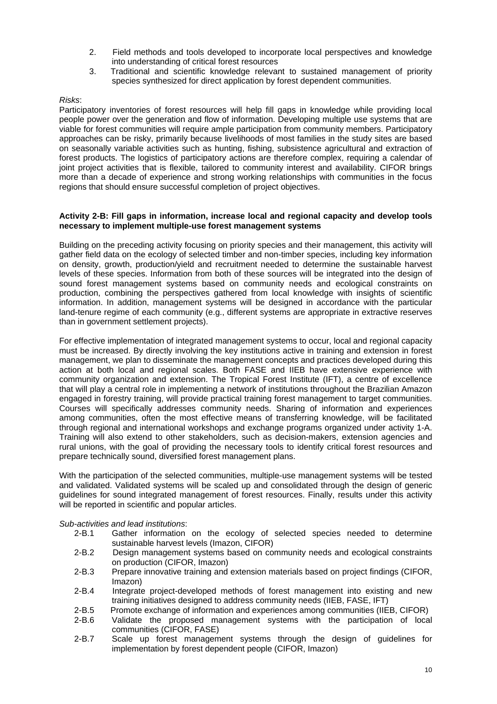- 2. Field methods and tools developed to incorporate local perspectives and knowledge into understanding of critical forest resources
- 3. Traditional and scientific knowledge relevant to sustained management of priority species synthesized for direct application by forest dependent communities.

#### *Risks*:

Participatory inventories of forest resources will help fill gaps in knowledge while providing local people power over the generation and flow of information. Developing multiple use systems that are viable for forest communities will require ample participation from community members. Participatory approaches can be risky, primarily because livelihoods of most families in the study sites are based on seasonally variable activities such as hunting, fishing, subsistence agricultural and extraction of forest products. The logistics of participatory actions are therefore complex, requiring a calendar of joint project activities that is flexible, tailored to community interest and availability. CIFOR brings more than a decade of experience and strong working relationships with communities in the focus regions that should ensure successful completion of project objectives.

#### **Activity 2-B: Fill gaps in information, increase local and regional capacity and develop tools necessary to implement multiple-use forest management systems**

Building on the preceding activity focusing on priority species and their management, this activity will gather field data on the ecology of selected timber and non-timber species, including key information on density, growth, production/yield and recruitment needed to determine the sustainable harvest levels of these species. Information from both of these sources will be integrated into the design of sound forest management systems based on community needs and ecological constraints on production, combining the perspectives gathered from local knowledge with insights of scientific information. In addition, management systems will be designed in accordance with the particular land-tenure regime of each community (e.g., different systems are appropriate in extractive reserves than in government settlement projects).

For effective implementation of integrated management systems to occur, local and regional capacity must be increased. By directly involving the key institutions active in training and extension in forest management, we plan to disseminate the management concepts and practices developed during this action at both local and regional scales. Both FASE and IIEB have extensive experience with community organization and extension. The Tropical Forest Institute (IFT), a centre of excellence that will play a central role in implementing a network of institutions throughout the Brazilian Amazon engaged in forestry training, will provide practical training forest management to target communities. Courses will specifically addresses community needs. Sharing of information and experiences among communities, often the most effective means of transferring knowledge, will be facilitated through regional and international workshops and exchange programs organized under activity 1-A. Training will also extend to other stakeholders, such as decision-makers, extension agencies and rural unions, with the goal of providing the necessary tools to identify critical forest resources and prepare technically sound, diversified forest management plans.

With the participation of the selected communities, multiple-use management systems will be tested and validated. Validated systems will be scaled up and consolidated through the design of generic guidelines for sound integrated management of forest resources. Finally, results under this activity will be reported in scientific and popular articles.

#### *Sub-activities and lead institutions*:

- 2-B.1 Gather information on the ecology of selected species needed to determine sustainable harvest levels (Imazon, CIFOR)
- 2-B.2 Design management systems based on community needs and ecological constraints on production (CIFOR, Imazon)
- 2-B.3 Prepare innovative training and extension materials based on project findings (CIFOR, Imazon)
- 2-B.4 Integrate project-developed methods of forest management into existing and new training initiatives designed to address community needs (IIEB, FASE, IFT)
- 2-B.5 Promote exchange of information and experiences among communities (IIEB, CIFOR)
- 2-B.6 Validate the proposed management systems with the participation of local communities (CIFOR, FASE)
- 2-B.7 Scale up forest management systems through the design of guidelines for implementation by forest dependent people (CIFOR, Imazon)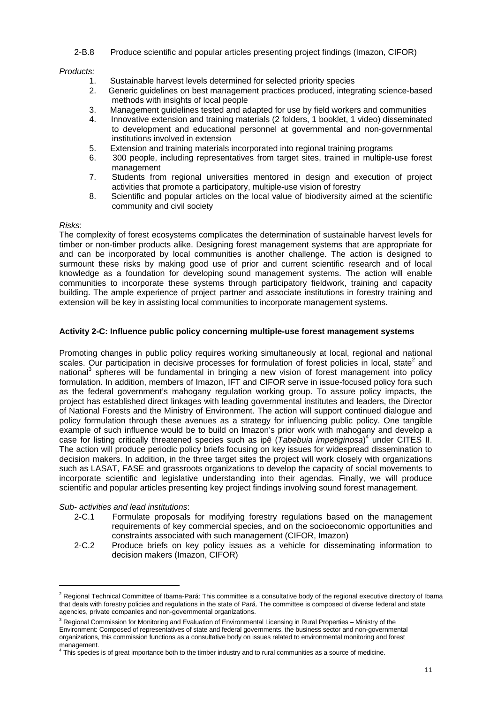2-B.8 Produce scientific and popular articles presenting project findings (Imazon, CIFOR)

## *Products:*

- 1. Sustainable harvest levels determined for selected priority species
- 2. Generic guidelines on best management practices produced, integrating science-based methods with insights of local people
- 3. Management guidelines tested and adapted for use by field workers and communities
- 4. Innovative extension and training materials (2 folders, 1 booklet, 1 video) disseminated to development and educational personnel at governmental and non-governmental institutions involved in extension
- 5. Extension and training materials incorporated into regional training programs
- 6. 300 people, including representatives from target sites, trained in multiple-use forest management
- 7. Students from regional universities mentored in design and execution of project activities that promote a participatory, multiple-use vision of forestry
- 8. Scientific and popular articles on the local value of biodiversity aimed at the scientific community and civil society

## *Risks*:

The complexity of forest ecosystems complicates the determination of sustainable harvest levels for timber or non-timber products alike. Designing forest management systems that are appropriate for and can be incorporated by local communities is another challenge. The action is designed to surmount these risks by making good use of prior and current scientific research and of local knowledge as a foundation for developing sound management systems. The action will enable communities to incorporate these systems through participatory fieldwork, training and capacity building. The ample experience of project partner and associate institutions in forestry training and extension will be key in assisting local communities to incorporate management systems.

## **Activity 2-C: Influence public policy concerning multiple-use forest management systems**

Promoting changes in public policy requires working simultaneously at local, regional and national scales. Our participation in decisive processes for formulation of forest policies in local, state<sup>2</sup> and national<sup>3</sup> spheres will be fundamental in bringing a new vision of forest management into policy formulation. In addition, members of Imazon, IFT and CIFOR serve in issue-focused policy fora such as the federal government's mahogany regulation working group. To assure policy impacts, the project has established direct linkages with leading governmental institutes and leaders, the Director of National Forests and the Ministry of Environment. The action will support continued dialogue and policy formulation through these avenues as a strategy for influencing public policy. One tangible example of such influence would be to build on Imazon's prior work with mahogany and develop a case for listing critically threatened species such as ipê (*Tabebuia impetiginosa*)<sup>4</sup> under CITES II. The action will produce periodic policy briefs focusing on key issues for widespread dissemination to decision makers. In addition, in the three target sites the project will work closely with organizations such as LASAT, FASE and grassroots organizations to develop the capacity of social movements to incorporate scientific and legislative understanding into their agendas. Finally, we will produce scientific and popular articles presenting key project findings involving sound forest management.

#### *Sub- activities and lead institutions*:

 $\overline{a}$ 

- 2-C.1 Formulate proposals for modifying forestry regulations based on the management requirements of key commercial species, and on the socioeconomic opportunities and constraints associated with such management (CIFOR, Imazon)
- 2-C.2 Produce briefs on key policy issues as a vehicle for disseminating information to decision makers (Imazon, CIFOR)

 $^2$  Regional Technical Committee of Ibama-Pará: This committee is a consultative body of the regional executive directory of Ibama that deals with forestry policies and regulations in the state of Pará. The committee is composed of diverse federal and state agencies, private companies and non-governmental organizations.

<sup>&</sup>lt;sup>3</sup> Regional Commission for Monitoring and Evaluation of Environmental Licensing in Rural Properties – Ministry of the Environment: Composed of representatives of state and federal governments, the business sector and non-governmental organizations, this commission functions as a consultative body on issues related to environmental monitoring and forest management.<br><sup>4</sup> This anasias

This species is of great importance both to the timber industry and to rural communities as a source of medicine.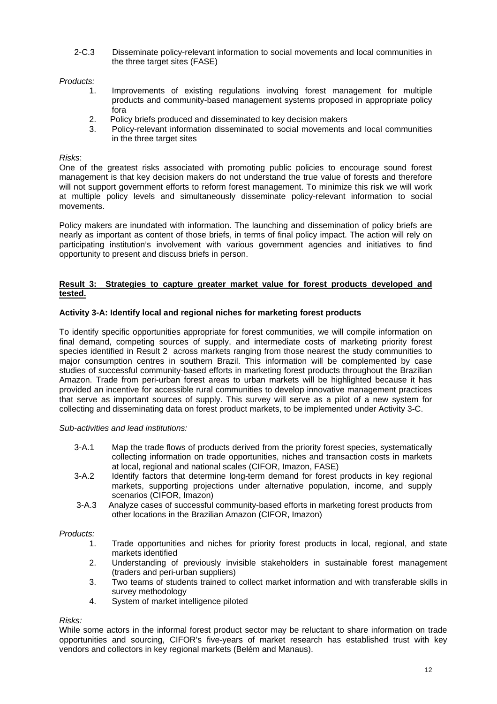2-C.3 Disseminate policy-relevant information to social movements and local communities in the three target sites (FASE)

# *Products:*

- 1. Improvements of existing regulations involving forest management for multiple products and community-based management systems proposed in appropriate policy fora
- 2. Policy briefs produced and disseminated to key decision makers
- 3. Policy-relevant information disseminated to social movements and local communities in the three target sites

# *Risks*:

One of the greatest risks associated with promoting public policies to encourage sound forest management is that key decision makers do not understand the true value of forests and therefore will not support government efforts to reform forest management. To minimize this risk we will work at multiple policy levels and simultaneously disseminate policy-relevant information to social movements.

Policy makers are inundated with information. The launching and dissemination of policy briefs are nearly as important as content of those briefs, in terms of final policy impact. The action will rely on participating institution's involvement with various government agencies and initiatives to find opportunity to present and discuss briefs in person.

## **Result 3: Strategies to capture greater market value for forest products developed and tested.**

# **Activity 3-A: Identify local and regional niches for marketing forest products**

To identify specific opportunities appropriate for forest communities, we will compile information on final demand, competing sources of supply, and intermediate costs of marketing priority forest species identified in Result 2 across markets ranging from those nearest the study communities to major consumption centres in southern Brazil. This information will be complemented by case studies of successful community-based efforts in marketing forest products throughout the Brazilian Amazon. Trade from peri-urban forest areas to urban markets will be highlighted because it has provided an incentive for accessible rural communities to develop innovative management practices that serve as important sources of supply. This survey will serve as a pilot of a new system for collecting and disseminating data on forest product markets, to be implemented under Activity 3-C.

#### *Sub-activities and lead institutions:*

- 3-A.1 Map the trade flows of products derived from the priority forest species, systematically collecting information on trade opportunities, niches and transaction costs in markets at local, regional and national scales (CIFOR, Imazon, FASE)
- 3-A.2 Identify factors that determine long-term demand for forest products in key regional markets, supporting projections under alternative population, income, and supply scenarios (CIFOR, Imazon)
- 3-A.3 Analyze cases of successful community-based efforts in marketing forest products from other locations in the Brazilian Amazon (CIFOR, Imazon)

#### *Products:*

- 1. Trade opportunities and niches for priority forest products in local, regional, and state markets identified
- 2. Understanding of previously invisible stakeholders in sustainable forest management (traders and peri-urban suppliers)
- 3. Two teams of students trained to collect market information and with transferable skills in survey methodology
- 4. System of market intelligence piloted

# *Risks:*

While some actors in the informal forest product sector may be reluctant to share information on trade opportunities and sourcing, CIFOR's five-years of market research has established trust with key vendors and collectors in key regional markets (Belém and Manaus).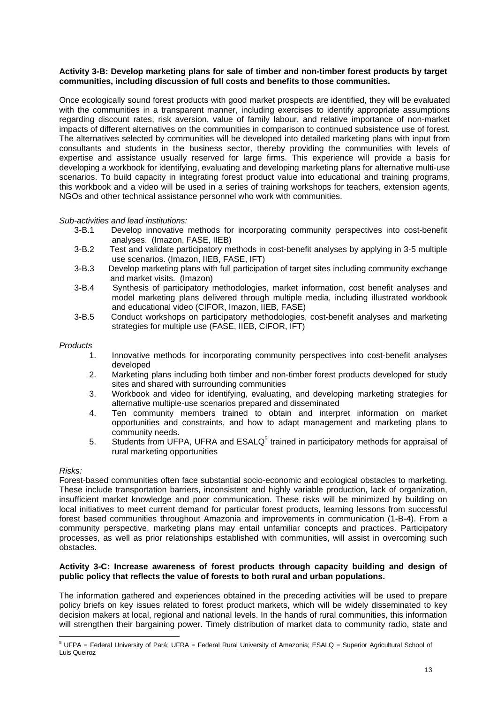#### **Activity 3-B: Develop marketing plans for sale of timber and non-timber forest products by target communities, including discussion of full costs and benefits to those communities.**

Once ecologically sound forest products with good market prospects are identified, they will be evaluated with the communities in a transparent manner, including exercises to identify appropriate assumptions regarding discount rates, risk aversion, value of family labour, and relative importance of non-market impacts of different alternatives on the communities in comparison to continued subsistence use of forest. The alternatives selected by communities will be developed into detailed marketing plans with input from consultants and students in the business sector, thereby providing the communities with levels of expertise and assistance usually reserved for large firms. This experience will provide a basis for developing a workbook for identifying, evaluating and developing marketing plans for alternative multi-use scenarios. To build capacity in integrating forest product value into educational and training programs, this workbook and a video will be used in a series of training workshops for teachers, extension agents, NGOs and other technical assistance personnel who work with communities.

#### *Sub-activities and lead institutions:*

- 3-B.1 Develop innovative methods for incorporating community perspectives into cost-benefit analyses. (Imazon, FASE, IIEB)
- 3-B.2 Test and validate participatory methods in cost-benefit analyses by applying in 3-5 multiple use scenarios. (Imazon, IIEB, FASE, IFT)
- 3-B.3 Develop marketing plans with full participation of target sites including community exchange and market visits. (Imazon)
- 3-B.4 Synthesis of participatory methodologies, market information, cost benefit analyses and model marketing plans delivered through multiple media, including illustrated workbook and educational video (CIFOR, Imazon, IIEB, FASE)
- 3-B.5 Conduct workshops on participatory methodologies, cost-benefit analyses and marketing strategies for multiple use (FASE, IIEB, CIFOR, IFT)

#### *Products*

- 1. Innovative methods for incorporating community perspectives into cost-benefit analyses developed
- 2. Marketing plans including both timber and non-timber forest products developed for study sites and shared with surrounding communities
- 3. Workbook and video for identifying, evaluating, and developing marketing strategies for alternative multiple-use scenarios prepared and disseminated
- 4. Ten community members trained to obtain and interpret information on market opportunities and constraints, and how to adapt management and marketing plans to community needs.
- 5. Students from UFPA, UFRA and  $ESALQ<sup>5</sup>$  trained in participatory methods for appraisal of rural marketing opportunities

#### *Risks:*

Forest-based communities often face substantial socio-economic and ecological obstacles to marketing. These include transportation barriers, inconsistent and highly variable production, lack of organization, insufficient market knowledge and poor communication. These risks will be minimized by building on local initiatives to meet current demand for particular forest products, learning lessons from successful forest based communities throughout Amazonia and improvements in communication (1-B-4). From a community perspective, marketing plans may entail unfamiliar concepts and practices. Participatory processes, as well as prior relationships established with communities, will assist in overcoming such obstacles.

#### **Activity 3-C: Increase awareness of forest products through capacity building and design of public policy that reflects the value of forests to both rural and urban populations.**

The information gathered and experiences obtained in the preceding activities will be used to prepare policy briefs on key issues related to forest product markets, which will be widely disseminated to key decision makers at local, regional and national levels. In the hands of rural communities, this information will strengthen their bargaining power. Timely distribution of market data to community radio, state and

 5 UFPA = Federal University of Pará; UFRA = Federal Rural University of Amazonia; ESALQ = Superior Agricultural School of Luis Queiroz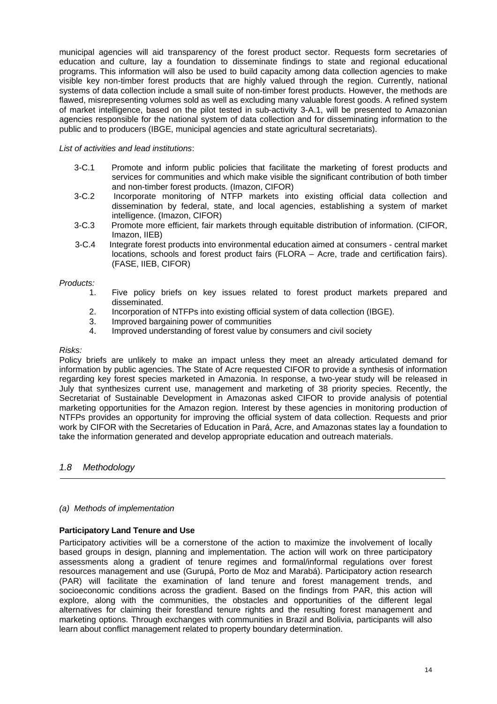municipal agencies will aid transparency of the forest product sector. Requests form secretaries of education and culture, lay a foundation to disseminate findings to state and regional educational programs. This information will also be used to build capacity among data collection agencies to make visible key non-timber forest products that are highly valued through the region. Currently, national systems of data collection include a small suite of non-timber forest products. However, the methods are flawed, misrepresenting volumes sold as well as excluding many valuable forest goods. A refined system of market intelligence, based on the pilot tested in sub-activity 3-A.1, will be presented to Amazonian agencies responsible for the national system of data collection and for disseminating information to the public and to producers (IBGE, municipal agencies and state agricultural secretariats).

## *List of activities and lead institutions*:

- 3-C.1 Promote and inform public policies that facilitate the marketing of forest products and services for communities and which make visible the significant contribution of both timber and non-timber forest products. (Imazon, CIFOR)
- 3-C.2 Incorporate monitoring of NTFP markets into existing official data collection and dissemination by federal, state, and local agencies, establishing a system of market intelligence. (Imazon, CIFOR)
- 3-C.3 Promote more efficient, fair markets through equitable distribution of information. (CIFOR, Imazon, IIEB)
- 3-C.4 Integrate forest products into environmental education aimed at consumers central market locations, schools and forest product fairs (FLORA – Acre, trade and certification fairs). (FASE, IIEB, CIFOR)

#### *Products:*

- 1. Five policy briefs on key issues related to forest product markets prepared and disseminated.
- 2. Incorporation of NTFPs into existing official system of data collection (IBGE).
- 3. Improved bargaining power of communities
- 4. Improved understanding of forest value by consumers and civil society

#### *Risks:*

Policy briefs are unlikely to make an impact unless they meet an already articulated demand for information by public agencies. The State of Acre requested CIFOR to provide a synthesis of information regarding key forest species marketed in Amazonia. In response, a two-year study will be released in July that synthesizes current use, management and marketing of 38 priority species. Recently, the Secretariat of Sustainable Development in Amazonas asked CIFOR to provide analysis of potential marketing opportunities for the Amazon region. Interest by these agencies in monitoring production of NTFPs provides an opportunity for improving the official system of data collection. Requests and prior work by CIFOR with the Secretaries of Education in Pará, Acre, and Amazonas states lay a foundation to take the information generated and develop appropriate education and outreach materials.

# *1.8 Methodology*

# *(a)**Methods of implementation*

# **Participatory Land Tenure and Use**

Participatory activities will be a cornerstone of the action to maximize the involvement of locally based groups in design, planning and implementation. The action will work on three participatory assessments along a gradient of tenure regimes and formal/informal regulations over forest resources management and use (Gurupá, Porto de Moz and Marabá). Participatory action research (PAR) will facilitate the examination of land tenure and forest management trends, and socioeconomic conditions across the gradient. Based on the findings from PAR, this action will explore, along with the communities, the obstacles and opportunities of the different legal alternatives for claiming their forestland tenure rights and the resulting forest management and marketing options. Through exchanges with communities in Brazil and Bolivia, participants will also learn about conflict management related to property boundary determination.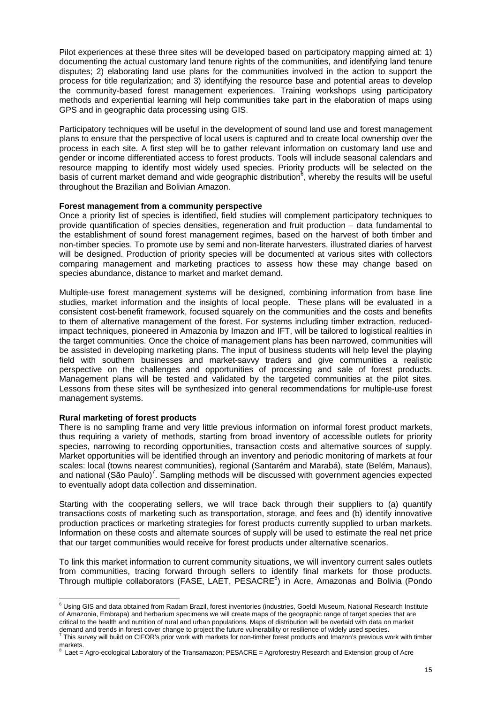Pilot experiences at these three sites will be developed based on participatory mapping aimed at: 1) documenting the actual customary land tenure rights of the communities, and identifying land tenure disputes; 2) elaborating land use plans for the communities involved in the action to support the process for title regularization; and 3) identifying the resource base and potential areas to develop the community-based forest management experiences. Training workshops using participatory methods and experiential learning will help communities take part in the elaboration of maps using GPS and in geographic data processing using GIS.

Participatory techniques will be useful in the development of sound land use and forest management plans to ensure that the perspective of local users is captured and to create local ownership over the process in each site. A first step will be to gather relevant information on customary land use and gender or income differentiated access to forest products. Tools will include seasonal calendars and resource mapping to identify most widely used species. Priority products will be selected on the basis of current market demand and wide geographic distribution<sup>6</sup>, whereby the results will be useful throughout the Brazilian and Bolivian Amazon.

## **Forest management from a community perspective**

Once a priority list of species is identified, field studies will complement participatory techniques to provide quantification of species densities, regeneration and fruit production – data fundamental to the establishment of sound forest management regimes, based on the harvest of both timber and non-timber species. To promote use by semi and non-literate harvesters, illustrated diaries of harvest will be designed. Production of priority species will be documented at various sites with collectors comparing management and marketing practices to assess how these may change based on species abundance, distance to market and market demand.

Multiple-use forest management systems will be designed, combining information from base line studies, market information and the insights of local people. These plans will be evaluated in a consistent cost-benefit framework, focused squarely on the communities and the costs and benefits to them of alternative management of the forest. For systems including timber extraction, reducedimpact techniques, pioneered in Amazonia by Imazon and IFT, will be tailored to logistical realities in the target communities. Once the choice of management plans has been narrowed, communities will be assisted in developing marketing plans. The input of business students will help level the playing field with southern businesses and market-savvy traders and give communities a realistic perspective on the challenges and opportunities of processing and sale of forest products. Management plans will be tested and validated by the targeted communities at the pilot sites. Lessons from these sites will be synthesized into general recommendations for multiple-use forest management systems.

#### **Rural marketing of forest products**

There is no sampling frame and very little previous information on informal forest product markets, thus requiring a variety of methods, starting from broad inventory of accessible outlets for priority species, narrowing to recording opportunities, transaction costs and alternative sources of supply. Market opportunities will be identified through an inventory and periodic monitoring of markets at four scales: local (towns nearest communities), regional (Santarém and Marabá), state (Belém, Manaus), and national (São Paulo)<sup>7</sup>. Sampling methods will be discussed with government agencies expected to eventually adopt data collection and dissemination.

Starting with the cooperating sellers, we will trace back through their suppliers to (a) quantify transactions costs of marketing such as transportation, storage, and fees and (b) identify innovative production practices or marketing strategies for forest products currently supplied to urban markets. Information on these costs and alternate sources of supply will be used to estimate the real net price that our target communities would receive for forest products under alternative scenarios.

To link this market information to current community situations, we will inventory current sales outlets from communities, tracing forward through sellers to identify final markets for those products. Through multiple collaborators (FASE, LAET, PESACRE<sup>8</sup>) in Acre, Amazonas and Bolivia (Pondo

 6 Using GIS and data obtained from Radam Brazil, forest inventories (industries, Goeldi Museum, National Research Institute of Amazonia, Embrapa) and herbarium specimens we will create maps of the geographic range of target species that are critical to the health and nutrition of rural and urban populations. Maps of distribution will be overlaid with data on market

demand and trends in forest cover change to project the future vulnerability or resilience of widely used species.<br><sup>7</sup> This survey will build on CIFOR's prior work with markets for non-timber forest products and Imazon's p markets.<br><sup>8</sup> Leet

Laet = Agro-ecological Laboratory of the Transamazon; PESACRE = Agroforestry Research and Extension group of Acre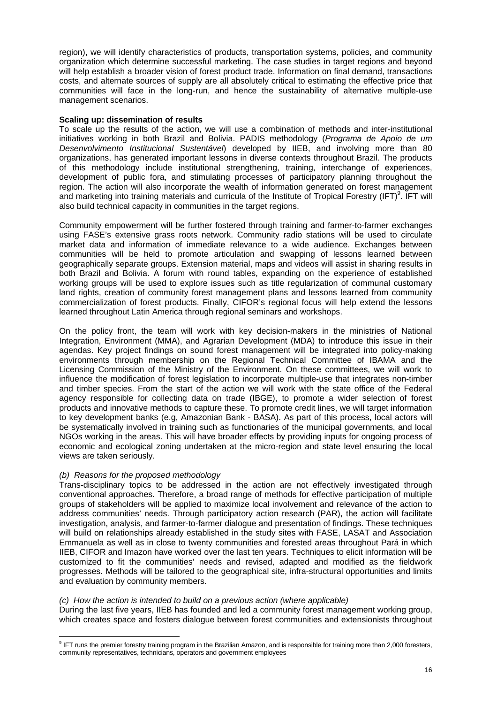region), we will identify characteristics of products, transportation systems, policies, and community organization which determine successful marketing. The case studies in target regions and beyond will help establish a broader vision of forest product trade. Information on final demand, transactions costs, and alternate sources of supply are all absolutely critical to estimating the effective price that communities will face in the long-run, and hence the sustainability of alternative multiple-use management scenarios.

#### **Scaling up: dissemination of results**

To scale up the results of the action, we will use a combination of methods and inter-institutional initiatives working in both Brazil and Bolivia. PADIS methodology (*Programa de Apoio de um Desenvolvimento Institucional Sustentável*) developed by IIEB, and involving more than 80 organizations, has generated important lessons in diverse contexts throughout Brazil. The products of this methodology include institutional strengthening, training, interchange of experiences, development of public fora, and stimulating processes of participatory planning throughout the region. The action will also incorporate the wealth of information generated on forest management and marketing into training materials and curricula of the Institute of Tropical Forestry (IFT)<sup>9</sup>. IFT will also build technical capacity in communities in the target regions.

Community empowerment will be further fostered through training and farmer-to-farmer exchanges using FASE's extensive grass roots network. Community radio stations will be used to circulate market data and information of immediate relevance to a wide audience. Exchanges between communities will be held to promote articulation and swapping of lessons learned between geographically separate groups. Extension material, maps and videos will assist in sharing results in both Brazil and Bolivia. A forum with round tables, expanding on the experience of established working groups will be used to explore issues such as title regularization of communal customary land rights, creation of community forest management plans and lessons learned from community commercialization of forest products. Finally, CIFOR's regional focus will help extend the lessons learned throughout Latin America through regional seminars and workshops.

On the policy front, the team will work with key decision-makers in the ministries of National Integration, Environment (MMA), and Agrarian Development (MDA) to introduce this issue in their agendas. Key project findings on sound forest management will be integrated into policy-making environments through membership on the Regional Technical Committee of IBAMA and the Licensing Commission of the Ministry of the Environment. On these committees, we will work to influence the modification of forest legislation to incorporate multiple-use that integrates non-timber and timber species. From the start of the action we will work with the state office of the Federal agency responsible for collecting data on trade (IBGE), to promote a wider selection of forest products and innovative methods to capture these. To promote credit lines, we will target information to key development banks (e.g, Amazonian Bank - BASA). As part of this process, local actors will be systematically involved in training such as functionaries of the municipal governments, and local NGOs working in the areas. This will have broader effects by providing inputs for ongoing process of economic and ecological zoning undertaken at the micro-region and state level ensuring the local views are taken seriously.

# *(b) Reasons for the proposed methodology*

Trans-disciplinary topics to be addressed in the action are not effectively investigated through conventional approaches. Therefore, a broad range of methods for effective participation of multiple groups of stakeholders will be applied to maximize local involvement and relevance of the action to address communities' needs. Through participatory action research (PAR), the action will facilitate investigation, analysis, and farmer-to-farmer dialogue and presentation of findings. These techniques will build on relationships already established in the study sites with FASE, LASAT and Association Emmanuela as well as in close to twenty communities and forested areas throughout Pará in which IIEB, CIFOR and Imazon have worked over the last ten years. Techniques to elicit information will be customized to fit the communities' needs and revised, adapted and modified as the fieldwork progresses. Methods will be tailored to the geographical site, infra-structural opportunities and limits and evaluation by community members.

#### *(c) How the action is intended to build on a previous action (where applicable)*

During the last five years, IIEB has founded and led a community forest management working group, which creates space and fosters dialogue between forest communities and extensionists throughout

eral on the premier forestry training program in the Brazilian Amazon, and is responsible for training more than 2,000 foresters,<br>FT runs the premier forestry training program in the Brazilian Amazon, and is responsible fo community representatives, technicians, operators and government employees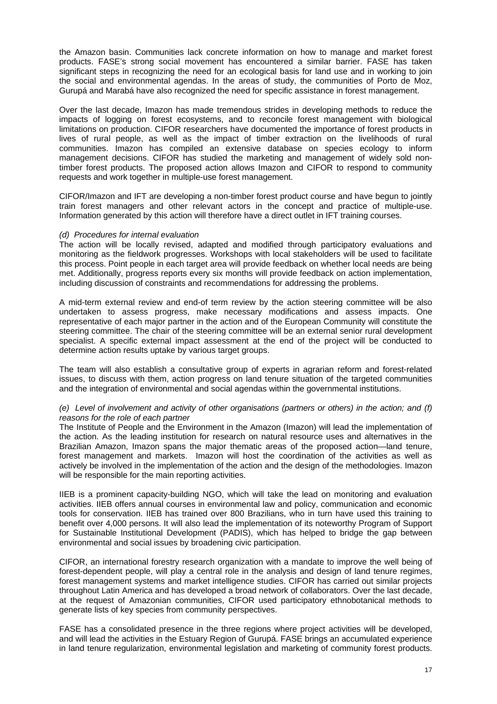the Amazon basin. Communities lack concrete information on how to manage and market forest products. FASE's strong social movement has encountered a similar barrier. FASE has taken significant steps in recognizing the need for an ecological basis for land use and in working to join the social and environmental agendas. In the areas of study, the communities of Porto de Moz, Gurupá and Marabá have also recognized the need for specific assistance in forest management.

Over the last decade, Imazon has made tremendous strides in developing methods to reduce the impacts of logging on forest ecosystems, and to reconcile forest management with biological limitations on production. CIFOR researchers have documented the importance of forest products in lives of rural people, as well as the impact of timber extraction on the livelihoods of rural communities. Imazon has compiled an extensive database on species ecology to inform management decisions. CIFOR has studied the marketing and management of widely sold nontimber forest products. The proposed action allows Imazon and CIFOR to respond to community requests and work together in multiple-use forest management.

CIFOR/Imazon and IFT are developing a non-timber forest product course and have begun to jointly train forest managers and other relevant actors in the concept and practice of multiple-use. Information generated by this action will therefore have a direct outlet in IFT training courses.

#### *(d) Procedures for internal evaluation*

The action will be locally revised, adapted and modified through participatory evaluations and monitoring as the fieldwork progresses. Workshops with local stakeholders will be used to facilitate this process. Point people in each target area will provide feedback on whether local needs are being met. Additionally, progress reports every six months will provide feedback on action implementation, including discussion of constraints and recommendations for addressing the problems.

A mid-term external review and end-of term review by the action steering committee will be also undertaken to assess progress, make necessary modifications and assess impacts. One representative of each major partner in the action and of the European Community will constitute the steering committee. The chair of the steering committee will be an external senior rural development specialist. A specific external impact assessment at the end of the project will be conducted to determine action results uptake by various target groups.

The team will also establish a consultative group of experts in agrarian reform and forest-related issues, to discuss with them, action progress on land tenure situation of the targeted communities and the integration of environmental and social agendas within the governmental institutions.

#### *(e) Level of involvement and activity of other organisations (partners or others) in the action; and (f) reasons for the role of each partner*

The Institute of People and the Environment in the Amazon (Imazon) will lead the implementation of the action. As the leading institution for research on natural resource uses and alternatives in the Brazilian Amazon, Imazon spans the major thematic areas of the proposed action—land tenure, forest management and markets. Imazon will host the coordination of the activities as well as actively be involved in the implementation of the action and the design of the methodologies. Imazon will be responsible for the main reporting activities.

IIEB is a prominent capacity-building NGO, which will take the lead on monitoring and evaluation activities. IIEB offers annual courses in environmental law and policy, communication and economic tools for conservation. IIEB has trained over 800 Brazilians, who in turn have used this training to benefit over 4,000 persons. It will also lead the implementation of its noteworthy Program of Support for Sustainable Institutional Development (PADIS), which has helped to bridge the gap between environmental and social issues by broadening civic participation.

CIFOR, an international forestry research organization with a mandate to improve the well being of forest-dependent people, will play a central role in the analysis and design of land tenure regimes, forest management systems and market intelligence studies. CIFOR has carried out similar projects throughout Latin America and has developed a broad network of collaborators. Over the last decade, at the request of Amazonian communities, CIFOR used participatory ethnobotanical methods to generate lists of key species from community perspectives.

FASE has a consolidated presence in the three regions where project activities will be developed, and will lead the activities in the Estuary Region of Gurupá. FASE brings an accumulated experience in land tenure regularization, environmental legislation and marketing of community forest products.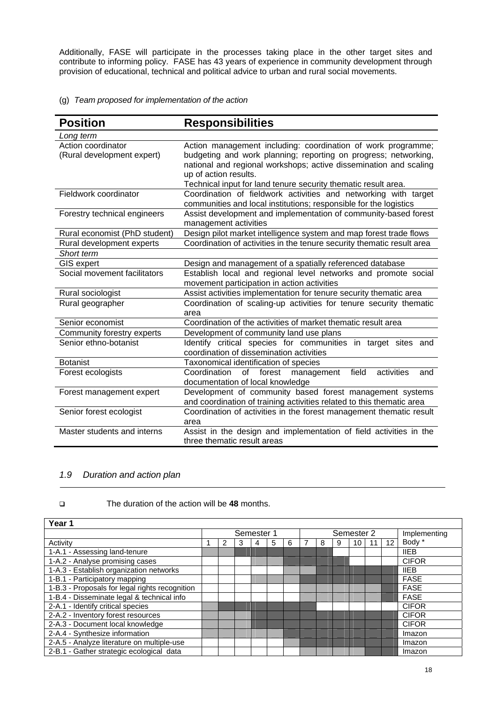Additionally, FASE will participate in the processes taking place in the other target sites and contribute to informing policy. FASE has 43 years of experience in community development through provision of educational, technical and political advice to urban and rural social movements.

# (g) *Team proposed for implementation of the action*

| <b>Position</b>                                  | <b>Responsibilities</b>                                                                                                                                                                                                                                                                         |
|--------------------------------------------------|-------------------------------------------------------------------------------------------------------------------------------------------------------------------------------------------------------------------------------------------------------------------------------------------------|
| Long term                                        |                                                                                                                                                                                                                                                                                                 |
| Action coordinator<br>(Rural development expert) | Action management including: coordination of work programme;<br>budgeting and work planning; reporting on progress; networking,<br>national and regional workshops; active dissemination and scaling<br>up of action results.<br>Technical input for land tenure security thematic result area. |
| Fieldwork coordinator                            | Coordination of fieldwork activities and networking with target<br>communities and local institutions; responsible for the logistics                                                                                                                                                            |
| Forestry technical engineers                     | Assist development and implementation of community-based forest<br>management activities                                                                                                                                                                                                        |
| Rural economist (PhD student)                    | Design pilot market intelligence system and map forest trade flows                                                                                                                                                                                                                              |
| Rural development experts                        | Coordination of activities in the tenure security thematic result area                                                                                                                                                                                                                          |
| Short term                                       |                                                                                                                                                                                                                                                                                                 |
| <b>GIS expert</b>                                | Design and management of a spatially referenced database                                                                                                                                                                                                                                        |
| Social movement facilitators                     | Establish local and regional level networks and promote social<br>movement participation in action activities                                                                                                                                                                                   |
| Rural sociologist                                | Assist activities implementation for tenure security thematic area                                                                                                                                                                                                                              |
| Rural geographer                                 | Coordination of scaling-up activities for tenure security thematic<br>area                                                                                                                                                                                                                      |
| Senior economist                                 | Coordination of the activities of market thematic result area                                                                                                                                                                                                                                   |
| Community forestry experts                       | Development of community land use plans                                                                                                                                                                                                                                                         |
| Senior ethno-botanist                            | Identify critical species for communities in target sites and<br>coordination of dissemination activities                                                                                                                                                                                       |
| <b>Botanist</b>                                  | Taxonomical identification of species                                                                                                                                                                                                                                                           |
| Forest ecologists                                | field<br>Coordination<br>of<br>activities<br>forest<br>management<br>and<br>documentation of local knowledge                                                                                                                                                                                    |
| Forest management expert                         | Development of community based forest management systems<br>and coordination of training activities related to this thematic area                                                                                                                                                               |
| Senior forest ecologist                          | Coordination of activities in the forest management thematic result<br>area                                                                                                                                                                                                                     |
| Master students and interns                      | Assist in the design and implementation of field activities in the<br>three thematic result areas                                                                                                                                                                                               |

# *1.9 Duration and action plan*

# The duration of the action will be **48** months.

| Year 1                                         |            |  |  |            |   |   |  |  |  |              |  |    |              |
|------------------------------------------------|------------|--|--|------------|---|---|--|--|--|--------------|--|----|--------------|
|                                                | Semester 1 |  |  | Semester 2 |   |   |  |  |  | Implementing |  |    |              |
| Activity                                       |            |  |  | 4          | 5 | 6 |  |  |  | 10           |  | 12 | Body *       |
| 1-A.1 - Assessing land-tenure                  |            |  |  |            |   |   |  |  |  |              |  |    | <b>IIEB</b>  |
| 1-A.2 - Analyse promising cases                |            |  |  |            |   |   |  |  |  |              |  |    | <b>CIFOR</b> |
| 1-A.3 - Establish organization networks        |            |  |  |            |   |   |  |  |  |              |  |    | <b>IIEB</b>  |
| 1-B.1 - Participatory mapping                  |            |  |  |            |   |   |  |  |  |              |  |    | <b>FASE</b>  |
| 1-B.3 - Proposals for legal rights recognition |            |  |  |            |   |   |  |  |  |              |  |    | <b>FASE</b>  |
| 1-B.4 - Disseminate legal & technical info     |            |  |  |            |   |   |  |  |  |              |  |    | <b>FASE</b>  |
| 2-A.1 - Identify critical species              |            |  |  |            |   |   |  |  |  |              |  |    | <b>CIFOR</b> |
| 2-A.2 - Inventory forest resources             |            |  |  |            |   |   |  |  |  |              |  |    | <b>CIFOR</b> |
| 2-A.3 - Document local knowledge               |            |  |  |            |   |   |  |  |  |              |  |    | <b>CIFOR</b> |
| 2-A.4 - Synthesize information                 |            |  |  |            |   |   |  |  |  |              |  |    | Imazon       |
| 2-A.5 - Analyze literature on multiple-use     |            |  |  |            |   |   |  |  |  |              |  |    | Imazon       |
| 2-B.1 - Gather strategic ecological data       |            |  |  |            |   |   |  |  |  |              |  |    | Imazon       |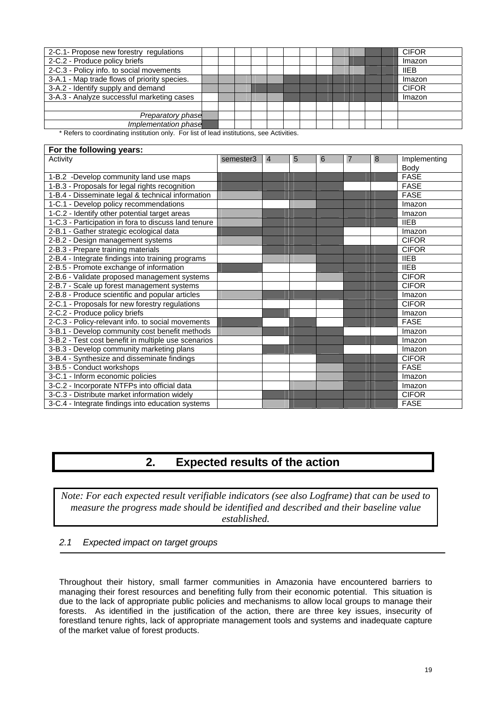| 2-C.1- Propose new forestry regulations      |  |  |  |  |  |  | <b>CIFOR</b> |
|----------------------------------------------|--|--|--|--|--|--|--------------|
| 2-C.2 - Produce policy briefs                |  |  |  |  |  |  | Imazon       |
| 2-C.3 - Policy info. to social movements     |  |  |  |  |  |  | <b>IIEB</b>  |
| 3-A.1 - Map trade flows of priority species. |  |  |  |  |  |  | Imazon       |
| 3-A.2 - Identify supply and demand           |  |  |  |  |  |  | <b>CIFOR</b> |
| 3-A.3 - Analyze successful marketing cases   |  |  |  |  |  |  | Imazon       |
|                                              |  |  |  |  |  |  |              |
| Preparatory phase                            |  |  |  |  |  |  |              |
| Implementation phase                         |  |  |  |  |  |  |              |
|                                              |  |  |  |  |  |  |              |

Refers to coordinating institution only. For list of lead institutions, see Activities.

# **For the following years:**

| For the following years:                             |           |   |   |   |   |              |
|------------------------------------------------------|-----------|---|---|---|---|--------------|
| Activity                                             | semester3 | 4 | 5 | 6 | 8 | Implementing |
|                                                      |           |   |   |   |   | Body         |
| 1-B.2 -Develop community land use maps               |           |   |   |   |   | <b>FASE</b>  |
| 1-B.3 - Proposals for legal rights recognition       |           |   |   |   |   | <b>FASE</b>  |
| 1-B.4 - Disseminate legal & technical information    |           |   |   |   |   | <b>FASE</b>  |
| 1-C.1 - Develop policy recommendations               |           |   |   |   |   | Imazon       |
| 1-C.2 - Identify other potential target areas        |           |   |   |   |   | Imazon       |
| 1-C.3 - Participation in fora to discuss land tenure |           |   |   |   |   | <b>IIEB</b>  |
| 2-B.1 - Gather strategic ecological data             |           |   |   |   |   | Imazon       |
| 2-B.2 - Design management systems                    |           |   |   |   |   | <b>CIFOR</b> |
| 2-B.3 - Prepare training materials                   |           |   |   |   |   | <b>CIFOR</b> |
| 2-B.4 - Integrate findings into training programs    |           |   |   |   |   | <b>IIEB</b>  |
| 2-B.5 - Promote exchange of information              |           |   |   |   |   | <b>IIEB</b>  |
| 2-B.6 - Validate proposed management systems         |           |   |   |   |   | <b>CIFOR</b> |
| 2-B.7 - Scale up forest management systems           |           |   |   |   |   | <b>CIFOR</b> |
| 2-B.8 - Produce scientific and popular articles      |           |   |   |   |   | Imazon       |
| 2-C.1 - Proposals for new forestry regulations       |           |   |   |   |   | <b>CIFOR</b> |
| 2-C.2 - Produce policy briefs                        |           |   |   |   |   | Imazon       |
| 2-C.3 - Policy-relevant info. to social movements    |           |   |   |   |   | <b>FASE</b>  |
| 3-B.1 - Develop community cost benefit methods       |           |   |   |   |   | Imazon       |
| 3-B.2 - Test cost benefit in multiple use scenarios  |           |   |   |   |   | Imazon       |
| 3-B.3 - Develop community marketing plans            |           |   |   |   |   | Imazon       |
| 3-B.4 - Synthesize and disseminate findings          |           |   |   |   |   | <b>CIFOR</b> |
| 3-B.5 - Conduct workshops                            |           |   |   |   |   | <b>FASE</b>  |
| 3-C.1 - Inform economic policies                     |           |   |   |   |   | Imazon       |
| 3-C.2 - Incorporate NTFPs into official data         |           |   |   |   |   | Imazon       |
| 3-C.3 - Distribute market information widely         |           |   |   |   |   | <b>CIFOR</b> |
| 3-C.4 - Integrate findings into education systems    |           |   |   |   |   | <b>FASE</b>  |

# **2. Expected results of the action**

*Note: For each expected result verifiable indicators (see also Logframe) that can be used to measure the progress made should be identified and described and their baseline value established.*

# *2.1 Expected impact on target groups*

Throughout their history, small farmer communities in Amazonia have encountered barriers to managing their forest resources and benefiting fully from their economic potential. This situation is due to the lack of appropriate public policies and mechanisms to allow local groups to manage their forests. As identified in the justification of the action, there are three key issues, insecurity of forestland tenure rights, lack of appropriate management tools and systems and inadequate capture of the market value of forest products.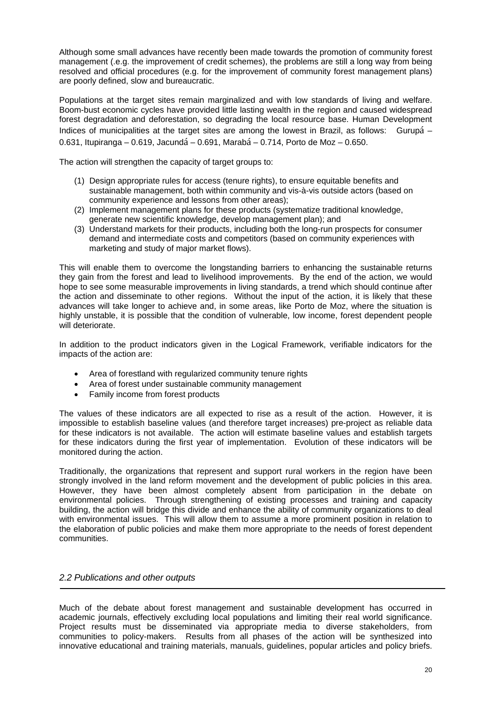Although some small advances have recently been made towards the promotion of community forest management (.e.g. the improvement of credit schemes), the problems are still a long way from being resolved and official procedures (e.g. for the improvement of community forest management plans) are poorly defined, slow and bureaucratic.

Populations at the target sites remain marginalized and with low standards of living and welfare. Boom-bust economic cycles have provided little lasting wealth in the region and caused widespread forest degradation and deforestation, so degrading the local resource base. Human Development Indices of municipalities at the target sites are among the lowest in Brazil, as follows: Gurupá – 0.631, Itupiranga – 0.619, Jacundá – 0.691, Marabá – 0.714, Porto de Moz – 0.650.

The action will strengthen the capacity of target groups to:

- (1) Design appropriate rules for access (tenure rights), to ensure equitable benefits and sustainable management, both within community and vis-à-vis outside actors (based on community experience and lessons from other areas);
- (2) Implement management plans for these products (systematize traditional knowledge, generate new scientific knowledge, develop management plan); and
- (3) Understand markets for their products, including both the long-run prospects for consumer demand and intermediate costs and competitors (based on community experiences with marketing and study of major market flows).

This will enable them to overcome the longstanding barriers to enhancing the sustainable returns they gain from the forest and lead to livelihood improvements. By the end of the action, we would hope to see some measurable improvements in living standards, a trend which should continue after the action and disseminate to other regions. Without the input of the action, it is likely that these advances will take longer to achieve and, in some areas, like Porto de Moz, where the situation is highly unstable, it is possible that the condition of vulnerable, low income, forest dependent people will deteriorate.

In addition to the product indicators given in the Logical Framework, verifiable indicators for the impacts of the action are:

- Area of forestland with regularized community tenure rights
- Area of forest under sustainable community management
- Family income from forest products

The values of these indicators are all expected to rise as a result of the action. However, it is impossible to establish baseline values (and therefore target increases) pre-project as reliable data for these indicators is not available. The action will estimate baseline values and establish targets for these indicators during the first year of implementation. Evolution of these indicators will be monitored during the action.

Traditionally, the organizations that represent and support rural workers in the region have been strongly involved in the land reform movement and the development of public policies in this area. However, they have been almost completely absent from participation in the debate on environmental policies. Through strengthening of existing processes and training and capacity building, the action will bridge this divide and enhance the ability of community organizations to deal with environmental issues. This will allow them to assume a more prominent position in relation to the elaboration of public policies and make them more appropriate to the needs of forest dependent communities.

# *2.2 Publications and other outputs*

Much of the debate about forest management and sustainable development has occurred in academic journals, effectively excluding local populations and limiting their real world significance. Project results must be disseminated via appropriate media to diverse stakeholders, from communities to policy-makers. Results from all phases of the action will be synthesized into innovative educational and training materials, manuals, guidelines, popular articles and policy briefs.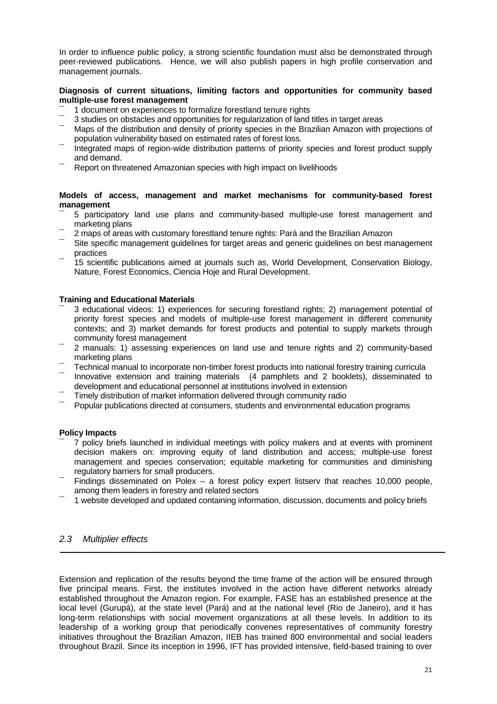In order to influence public policy, a strong scientific foundation must also be demonstrated through peer-reviewed publications. Hence, we will also publish papers in high profile conservation and management journals.

## **Diagnosis of current situations, limiting factors and opportunities for community based multiple-use forest management**

- ¯ 1 document on experiences to formalize forestland tenure rights
- ¯ 3 studies on obstacles and opportunities for regularization of land titles in target areas
- Maps of the distribution and density of priority species in the Brazilian Amazon with projections of population vulnerability based on estimated rates of forest loss.
- Integrated maps of region-wide distribution patterns of priority species and forest product supply and demand.
- Report on threatened Amazonian species with high impact on livelihoods

## **Models of access, management and market mechanisms for community-based forest management**

- ¯ 5 participatory land use plans and community-based multiple-use forest management and marketing plans
- 2 maps of areas with customary forestland tenure rights: Pará and the Brazilian Amazon
- Site specific management guidelines for target areas and generic guidelines on best management practices
- ¯ 15 scientific publications aimed at journals such as, World Development, Conservation Biology, Nature, Forest Economics, Ciencia Hoje and Rural Development.

## **Training and Educational Materials**

- ¯ 3 educational videos: 1) experiences for securing forestland rights; 2) management potential of priority forest species and models of multiple-use forest management in different community contexts; and 3) market demands for forest products and potential to supply markets through community forest management
- ¯ 2 manuals: 1) assessing experiences on land use and tenure rights and 2) community-based marketing plans
- ¯ Technical manual to incorporate non-timber forest products into national forestry training curricula
- Innovative extension and training materials (4 pamphlets and 2 booklets), disseminated to development and educational personnel at institutions involved in extension
- ¯ Timely distribution of market information delivered through community radio
- ¯ Popular publications directed at consumers, students and environmental education programs

# **Policy Impacts**

- ¯ 7 policy briefs launched in individual meetings with policy makers and at events with prominent decision makers on: improving equity of land distribution and access; multiple-use forest management and species conservation; equitable marketing for communities and diminishing regulatory barriers for small producers.
- Findings disseminated on Polex a forest policy expert listserv that reaches 10,000 people, among them leaders in forestry and related sectors
- ¯ 1 website developed and updated containing information, discussion, documents and policy briefs

# *2.3 Multiplier effects*

Extension and replication of the results beyond the time frame of the action will be ensured through five principal means. First, the institutes involved in the action have different networks already established throughout the Amazon region. For example, FASE has an established presence at the local level (Gurupá), at the state level (Pará) and at the national level (Rio de Janeiro), and it has long-term relationships with social movement organizations at all these levels. In addition to its leadership of a working group that periodically convenes representatives of community forestry initiatives throughout the Brazilian Amazon, IIEB has trained 800 environmental and social leaders throughout Brazil. Since its inception in 1996, IFT has provided intensive, field-based training to over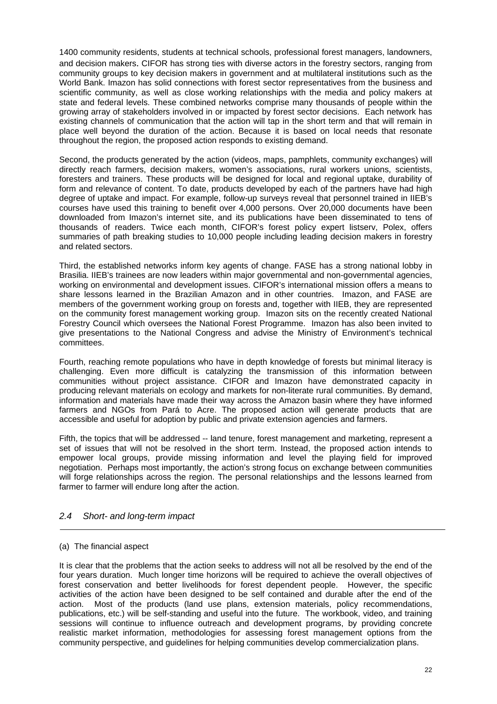1400 community residents, students at technical schools, professional forest managers, landowners, and decision makers. CIFOR has strong ties with diverse actors in the forestry sectors, ranging from community groups to key decision makers in government and at multilateral institutions such as the World Bank. Imazon has solid connections with forest sector representatives from the business and scientific community, as well as close working relationships with the media and policy makers at state and federal levels. These combined networks comprise many thousands of people within the growing array of stakeholders involved in or impacted by forest sector decisions. Each network has existing channels of communication that the action will tap in the short term and that will remain in place well beyond the duration of the action. Because it is based on local needs that resonate throughout the region, the proposed action responds to existing demand.

Second, the products generated by the action (videos, maps, pamphlets, community exchanges) will directly reach farmers, decision makers, women's associations, rural workers unions, scientists, foresters and trainers. These products will be designed for local and regional uptake, durability of form and relevance of content. To date, products developed by each of the partners have had high degree of uptake and impact. For example, follow-up surveys reveal that personnel trained in IIEB's courses have used this training to benefit over 4,000 persons. Over 20,000 documents have been downloaded from Imazon's internet site, and its publications have been disseminated to tens of thousands of readers. Twice each month, CIFOR's forest policy expert listserv, Polex, offers summaries of path breaking studies to 10,000 people including leading decision makers in forestry and related sectors.

Third, the established networks inform key agents of change. FASE has a strong national lobby in Brasilia. IIEB's trainees are now leaders within major governmental and non-governmental agencies, working on environmental and development issues. CIFOR's international mission offers a means to share lessons learned in the Brazilian Amazon and in other countries. Imazon, and FASE are members of the government working group on forests and, together with IIEB, they are represented on the community forest management working group. Imazon sits on the recently created National Forestry Council which oversees the National Forest Programme. Imazon has also been invited to give presentations to the National Congress and advise the Ministry of Environment's technical committees.

Fourth, reaching remote populations who have in depth knowledge of forests but minimal literacy is challenging. Even more difficult is catalyzing the transmission of this information between communities without project assistance. CIFOR and Imazon have demonstrated capacity in producing relevant materials on ecology and markets for non-literate rural communities. By demand, information and materials have made their way across the Amazon basin where they have informed farmers and NGOs from Pará to Acre. The proposed action will generate products that are accessible and useful for adoption by public and private extension agencies and farmers.

Fifth, the topics that will be addressed -- land tenure, forest management and marketing, represent a set of issues that will not be resolved in the short term. Instead, the proposed action intends to empower local groups, provide missing information and level the playing field for improved negotiation. Perhaps most importantly, the action's strong focus on exchange between communities will forge relationships across the region. The personal relationships and the lessons learned from farmer to farmer will endure long after the action.

# *2.4 Short- and long-term impact*

# (a) The financial aspect

It is clear that the problems that the action seeks to address will not all be resolved by the end of the four years duration. Much longer time horizons will be required to achieve the overall objectives of forest conservation and better livelihoods for forest dependent people. However, the specific activities of the action have been designed to be self contained and durable after the end of the action. Most of the products (land use plans, extension materials, policy recommendations, publications, etc.) will be self-standing and useful into the future. The workbook, video, and training sessions will continue to influence outreach and development programs, by providing concrete realistic market information, methodologies for assessing forest management options from the community perspective, and guidelines for helping communities develop commercialization plans.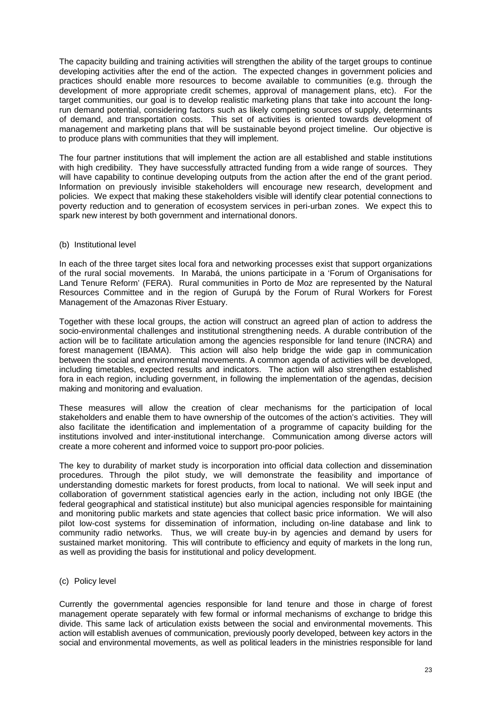The capacity building and training activities will strengthen the ability of the target groups to continue developing activities after the end of the action. The expected changes in government policies and practices should enable more resources to become available to communities (e.g. through the development of more appropriate credit schemes, approval of management plans, etc). For the target communities, our goal is to develop realistic marketing plans that take into account the longrun demand potential, considering factors such as likely competing sources of supply, determinants of demand, and transportation costs. This set of activities is oriented towards development of management and marketing plans that will be sustainable beyond project timeline. Our objective is to produce plans with communities that they will implement.

The four partner institutions that will implement the action are all established and stable institutions with high credibility. They have successfully attracted funding from a wide range of sources. They will have capability to continue developing outputs from the action after the end of the grant period. Information on previously invisible stakeholders will encourage new research, development and policies. We expect that making these stakeholders visible will identify clear potential connections to poverty reduction and to generation of ecosystem services in peri-urban zones. We expect this to spark new interest by both government and international donors.

#### (b) Institutional level

In each of the three target sites local fora and networking processes exist that support organizations of the rural social movements. In Marabá, the unions participate in a 'Forum of Organisations for Land Tenure Reform' (FERA). Rural communities in Porto de Moz are represented by the Natural Resources Committee and in the region of Gurupá by the Forum of Rural Workers for Forest Management of the Amazonas River Estuary.

Together with these local groups, the action will construct an agreed plan of action to address the socio-environmental challenges and institutional strengthening needs. A durable contribution of the action will be to facilitate articulation among the agencies responsible for land tenure (INCRA) and forest management (IBAMA). This action will also help bridge the wide gap in communication between the social and environmental movements. A common agenda of activities will be developed, including timetables, expected results and indicators. The action will also strengthen established fora in each region, including government, in following the implementation of the agendas, decision making and monitoring and evaluation.

These measures will allow the creation of clear mechanisms for the participation of local stakeholders and enable them to have ownership of the outcomes of the action's activities. They will also facilitate the identification and implementation of a programme of capacity building for the institutions involved and inter-institutional interchange. Communication among diverse actors will create a more coherent and informed voice to support pro-poor policies.

The key to durability of market study is incorporation into official data collection and dissemination procedures. Through the pilot study, we will demonstrate the feasibility and importance of understanding domestic markets for forest products, from local to national. We will seek input and collaboration of government statistical agencies early in the action, including not only IBGE (the federal geographical and statistical institute) but also municipal agencies responsible for maintaining and monitoring public markets and state agencies that collect basic price information. We will also pilot low-cost systems for dissemination of information, including on-line database and link to community radio networks. Thus, we will create buy-in by agencies and demand by users for sustained market monitoring. This will contribute to efficiency and equity of markets in the long run, as well as providing the basis for institutional and policy development.

(c) Policy level

Currently the governmental agencies responsible for land tenure and those in charge of forest management operate separately with few formal or informal mechanisms of exchange to bridge this divide. This same lack of articulation exists between the social and environmental movements. This action will establish avenues of communication, previously poorly developed, between key actors in the social and environmental movements, as well as political leaders in the ministries responsible for land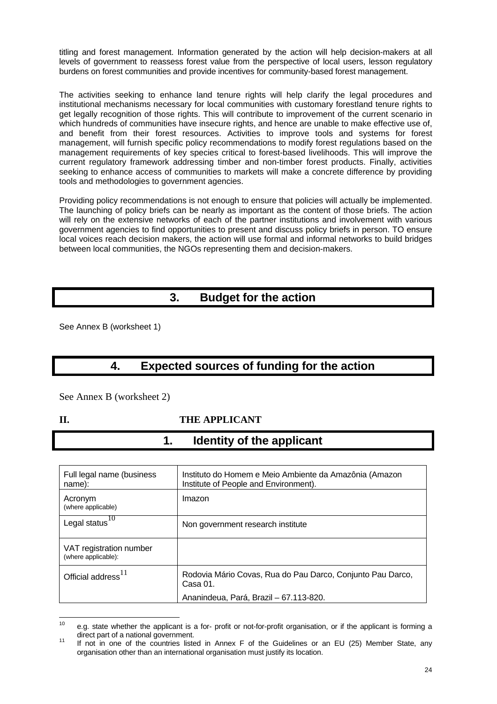titling and forest management. Information generated by the action will help decision-makers at all levels of government to reassess forest value from the perspective of local users, lesson regulatory burdens on forest communities and provide incentives for community-based forest management.

The activities seeking to enhance land tenure rights will help clarify the legal procedures and institutional mechanisms necessary for local communities with customary forestland tenure rights to get legally recognition of those rights. This will contribute to improvement of the current scenario in which hundreds of communities have insecure rights, and hence are unable to make effective use of, and benefit from their forest resources. Activities to improve tools and systems for forest management, will furnish specific policy recommendations to modify forest regulations based on the management requirements of key species critical to forest-based livelihoods. This will improve the current regulatory framework addressing timber and non-timber forest products. Finally, activities seeking to enhance access of communities to markets will make a concrete difference by providing tools and methodologies to government agencies.

Providing policy recommendations is not enough to ensure that policies will actually be implemented. The launching of policy briefs can be nearly as important as the content of those briefs. The action will rely on the extensive networks of each of the partner institutions and involvement with various government agencies to find opportunities to present and discuss policy briefs in person. TO ensure local voices reach decision makers, the action will use formal and informal networks to build bridges between local communities, the NGOs representing them and decision-makers.

# **3. Budget for the action**

See Annex B (worksheet 1)

# **4. Expected sources of funding for the action**

See Annex B (worksheet 2)

# **II. THE APPLICANT**

**1. Identity of the applicant** 

| Full legal name (business<br>name):            | Instituto do Homem e Meio Ambiente da Amazônia (Amazon<br>Institute of People and Environment). |
|------------------------------------------------|-------------------------------------------------------------------------------------------------|
| Acronym<br>(where applicable)                  | Imazon                                                                                          |
| Legal status $^{1\overline{0}}$                | Non government research institute                                                               |
| VAT registration number<br>(where applicable): |                                                                                                 |
| Official address <sup>11</sup>                 | Rodovia Mário Covas, Rua do Pau Darco, Conjunto Pau Darco,<br>Casa 01.                          |
|                                                | Ananindeua, Pará, Brazil - 67.113-820.                                                          |

 $10$ e.g. state whether the applicant is a for- profit or not-for-profit organisation, or if the applicant is forming a direct part of a national government.

direct part of a national government. 11 If not in one of the countries listed in Annex F of the Guidelines or an EU (25) Member State, any organisation other than an international organisation must justify its location.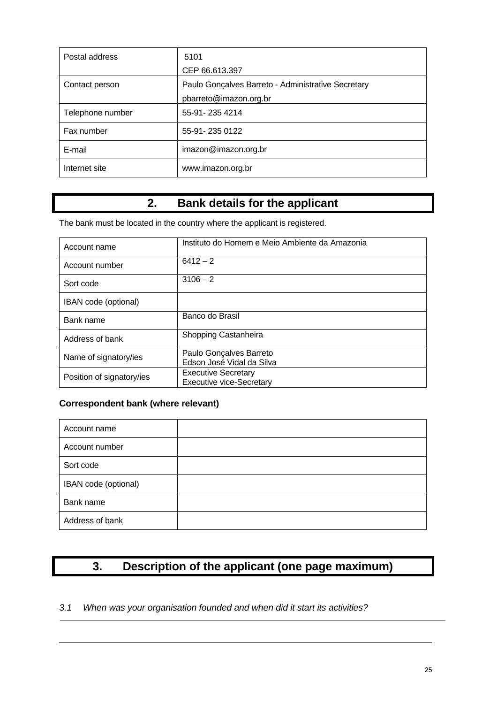| Postal address   | 5101                                                                         |
|------------------|------------------------------------------------------------------------------|
|                  | CEP 66.613.397                                                               |
| Contact person   | Paulo Gonçalves Barreto - Administrative Secretary<br>pbarreto@imazon.org.br |
| Telephone number | 55-91-235 4214                                                               |
| Fax number       | 55-91-235 0122                                                               |
| E-mail           | imazon@imazon.org.br                                                         |
| Internet site    | www.imazon.org.br                                                            |

# **2. Bank details for the applicant**

The bank must be located in the country where the applicant is registered.

| Account name              | Instituto do Homem e Meio Ambiente da Amazonia                |
|---------------------------|---------------------------------------------------------------|
| Account number            | $6412 - 2$                                                    |
| Sort code                 | $3106 - 2$                                                    |
| IBAN code (optional)      |                                                               |
| Bank name                 | Banco do Brasil                                               |
| Address of bank           | Shopping Castanheira                                          |
| Name of signatory/ies     | Paulo Gonçalves Barreto<br>Edson José Vidal da Silva          |
| Position of signatory/ies | <b>Executive Secretary</b><br><b>Executive vice-Secretary</b> |

# **Correspondent bank (where relevant)**

 $\overline{a}$ 

| Account name         |  |
|----------------------|--|
| Account number       |  |
| Sort code            |  |
| IBAN code (optional) |  |
| Bank name            |  |
| Address of bank      |  |

# **3. Description of the applicant (one page maximum)**

# *3.1 When was your organisation founded and when did it start its activities?*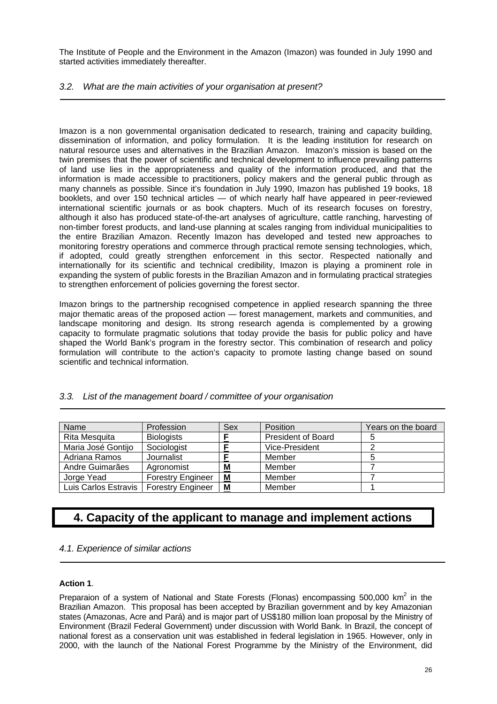The Institute of People and the Environment in the Amazon (Imazon) was founded in July 1990 and started activities immediately thereafter.

# *3.2. What are the main activities of your organisation at present?*

Imazon is a non governmental organisation dedicated to research, training and capacity building, dissemination of information, and policy formulation. It is the leading institution for research on natural resource uses and alternatives in the Brazilian Amazon. Imazon's mission is based on the twin premises that the power of scientific and technical development to influence prevailing patterns of land use lies in the appropriateness and quality of the information produced, and that the information is made accessible to practitioners, policy makers and the general public through as many channels as possible. Since it's foundation in July 1990, Imazon has published 19 books, 18 booklets, and over 150 technical articles — of which nearly half have appeared in peer-reviewed international scientific journals or as book chapters. Much of its research focuses on forestry, although it also has produced state-of-the-art analyses of agriculture, cattle ranching, harvesting of non-timber forest products, and land-use planning at scales ranging from individual municipalities to the entire Brazilian Amazon. Recently Imazon has developed and tested new approaches to monitoring forestry operations and commerce through practical remote sensing technologies, which, if adopted, could greatly strengthen enforcement in this sector. Respected nationally and internationally for its scientific and technical credibility, Imazon is playing a prominent role in expanding the system of public forests in the Brazilian Amazon and in formulating practical strategies to strengthen enforcement of policies governing the forest sector.

Imazon brings to the partnership recognised competence in applied research spanning the three major thematic areas of the proposed action — forest management, markets and communities, and landscape monitoring and design. Its strong research agenda is complemented by a growing capacity to formulate pragmatic solutions that today provide the basis for public policy and have shaped the World Bank's program in the forestry sector. This combination of research and policy formulation will contribute to the action's capacity to promote lasting change based on sound scientific and technical information.

| <b>Name</b>          | Profession               | Sex | <b>Position</b>           | Years on the board |
|----------------------|--------------------------|-----|---------------------------|--------------------|
| Rita Mesquita        | <b>Biologists</b>        | с   | <b>President of Board</b> |                    |
| Maria José Gontijo   | Sociologist              |     | Vice-President            |                    |
| Adriana Ramos        | Journalist               |     | Member                    |                    |
| Andre Guimarães      | Agronomist               | M   | Member                    |                    |
| Jorge Yead           | <b>Forestry Engineer</b> | M   | Member                    |                    |
| Luis Carlos Estravis | <b>Forestry Engineer</b> | M   | Member                    |                    |

# *3.3. List of the management board / committee of your organisation*

# **4. Capacity of the applicant to manage and implement actions**

# *4.1. Experience of similar actions*

# **Action 1**.

Preparaion of a system of National and State Forests (Flonas) encompassing 500,000 km<sup>2</sup> in the Brazilian Amazon. This proposal has been accepted by Brazilian government and by key Amazonian states (Amazonas, Acre and Pará) and is major part of US\$180 million loan proposal by the Ministry of Environment (Brazil Federal Government) under discussion with World Bank. In Brazil, the concept of national forest as a conservation unit was established in federal legislation in 1965. However, only in 2000, with the launch of the National Forest Programme by the Ministry of the Environment, did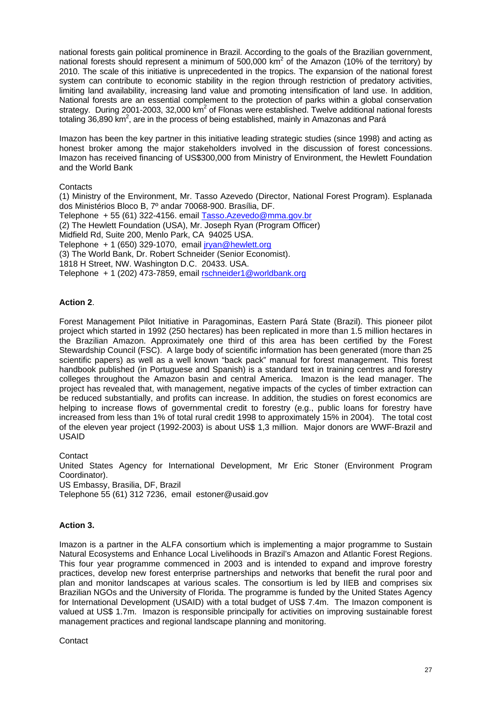national forests gain political prominence in Brazil. According to the goals of the Brazilian government, national forests should represent a minimum of 500,000 km<sup>2</sup> of the Amazon (10% of the territory) by 2010. The scale of this initiative is unprecedented in the tropics. The expansion of the national forest system can contribute to economic stability in the region through restriction of predatory activities, limiting land availability, increasing land value and promoting intensification of land use. In addition, National forests are an essential complement to the protection of parks within a global conservation strategy. During 2001-2003, 32,000 km<sup>2</sup> of Flonas were established. Twelve additional national forests totaling 36,890 km<sup>2</sup>, are in the process of being established, mainly in Amazonas and Pará

Imazon has been the key partner in this initiative leading strategic studies (since 1998) and acting as honest broker among the major stakeholders involved in the discussion of forest concessions. Imazon has received financing of US\$300,000 from Ministry of Environment, the Hewlett Foundation and the World Bank

## **Contacts**

(1) Ministry of the Environment, Mr. Tasso Azevedo (Director, National Forest Program). Esplanada dos Ministérios Bloco B, 7º andar 70068-900. Brasília, DF. Telephone + 55 (61) 322-4156. email Tasso.Azevedo@mma.gov.br (2) The Hewlett Foundation (USA), Mr. Joseph Ryan (Program Officer) Midfield Rd, Suite 200, Menlo Park, CA 94025 USA. Telephone + 1 (650) 329-1070, email jryan@hewlett.org (3) The World Bank, Dr. Robert Schneider (Senior Economist). 1818 H Street, NW. Washington D.C. 20433. USA. Telephone + 1 (202) 473-7859, email rschneider1@worldbank.org

# **Action 2**.

Forest Management Pilot Initiative in Paragominas, Eastern Pará State (Brazil). This pioneer pilot project which started in 1992 (250 hectares) has been replicated in more than 1.5 million hectares in the Brazilian Amazon. Approximately one third of this area has been certified by the Forest Stewardship Council (FSC). A large body of scientific information has been generated (more than 25 scientific papers) as well as a well known "back pack" manual for forest management. This forest handbook published (in Portuguese and Spanish) is a standard text in training centres and forestry colleges throughout the Amazon basin and central America. Imazon is the lead manager. The project has revealed that, with management, negative impacts of the cycles of timber extraction can be reduced substantially, and profits can increase. In addition, the studies on forest economics are helping to increase flows of governmental credit to forestry (e.g., public loans for forestry have increased from less than 1% of total rural credit 1998 to approximately 15% in 2004). The total cost of the eleven year project (1992-2003) is about US\$ 1,3 million. Major donors are WWF-Brazil and USAID

**Contact** United States Agency for International Development, Mr Eric Stoner (Environment Program Coordinator). US Embassy, Brasilia, DF, Brazil Telephone 55 (61) 312 7236, email estoner@usaid.gov

# **Action 3.**

Imazon is a partner in the ALFA consortium which is implementing a major programme to Sustain Natural Ecosystems and Enhance Local Livelihoods in Brazil's Amazon and Atlantic Forest Regions. This four year programme commenced in 2003 and is intended to expand and improve forestry practices, develop new forest enterprise partnerships and networks that benefit the rural poor and plan and monitor landscapes at various scales. The consortium is led by IIEB and comprises six Brazilian NGOs and the University of Florida. The programme is funded by the United States Agency for International Development (USAID) with a total budget of US\$ 7.4m. The Imazon component is valued at US\$ 1.7m. Imazon is responsible principally for activities on improving sustainable forest management practices and regional landscape planning and monitoring.

**Contact**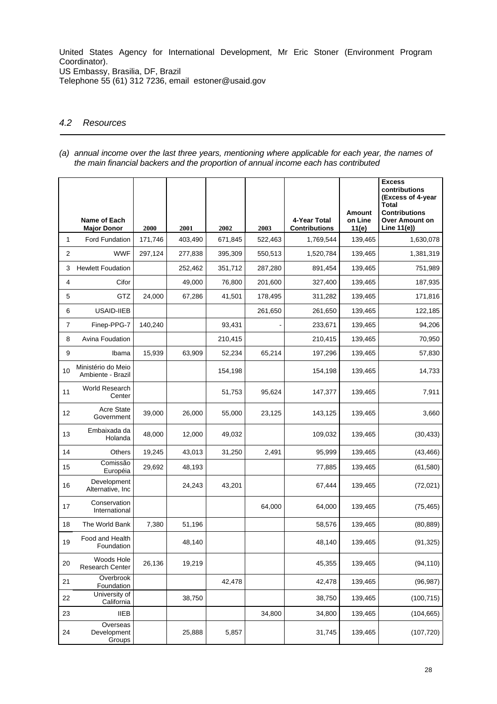United States Agency for International Development, Mr Eric Stoner (Environment Program Coordinator). US Embassy, Brasilia, DF, Brazil

Telephone 55 (61) 312 7236, email estoner@usaid.gov

## *4.2 Resources*

*(a) annual income over the last three years, mentioning where applicable for each year, the names of the main financial backers and the proportion of annual income each has contributed* 

|                | Name of Each                            |         |         |         |         | 4-Year Total         | <b>Amount</b><br>on Line | <b>Excess</b><br>contributions<br>(Excess of 4-year<br>Total<br><b>Contributions</b><br>Over Amount on |
|----------------|-----------------------------------------|---------|---------|---------|---------|----------------------|--------------------------|--------------------------------------------------------------------------------------------------------|
|                | <b>Major Donor</b>                      | 2000    | 2001    | 2002    | 2003    | <b>Contributions</b> | 11(e)                    | Line 11(e))                                                                                            |
| 1              | Ford Fundation                          | 171,746 | 403,490 | 671,845 | 522,463 | 1,769,544            | 139,465                  | 1,630,078                                                                                              |
| $\overline{2}$ | <b>WWF</b>                              | 297,124 | 277,838 | 395,309 | 550,513 | 1,520,784            | 139,465                  | 1,381,319                                                                                              |
| 3              | <b>Hewlett Foudation</b>                |         | 252,462 | 351,712 | 287,280 | 891,454              | 139,465                  | 751,989                                                                                                |
| 4              | Cifor                                   |         | 49,000  | 76,800  | 201,600 | 327,400              | 139,465                  | 187,935                                                                                                |
| 5              | GTZ                                     | 24,000  | 67,286  | 41,501  | 178,495 | 311,282              | 139,465                  | 171,816                                                                                                |
| 6              | USAID-IIEB                              |         |         |         | 261,650 | 261,650              | 139,465                  | 122,185                                                                                                |
| 7              | Finep-PPG-7                             | 140,240 |         | 93,431  |         | 233,671              | 139,465                  | 94,206                                                                                                 |
| 8              | Avina Foudation                         |         |         | 210,415 |         | 210,415              | 139,465                  | 70,950                                                                                                 |
| 9              | Ibama                                   | 15,939  | 63,909  | 52,234  | 65,214  | 197,296              | 139,465                  | 57,830                                                                                                 |
| 10             | Ministério do Meio<br>Ambiente - Brazil |         |         | 154,198 |         | 154,198              | 139,465                  | 14,733                                                                                                 |
| 11             | World Research<br>Center                |         |         | 51,753  | 95,624  | 147,377              | 139,465                  | 7,911                                                                                                  |
| 12             | <b>Acre State</b><br>Government         | 39,000  | 26,000  | 55,000  | 23,125  | 143,125              | 139,465                  | 3,660                                                                                                  |
| 13             | Embaixada da<br>Holanda                 | 48,000  | 12,000  | 49,032  |         | 109,032              | 139,465                  | (30, 433)                                                                                              |
| 14             | Others                                  | 19,245  | 43,013  | 31,250  | 2,491   | 95,999               | 139,465                  | (43, 466)                                                                                              |
| 15             | Comissão<br>Européia                    | 29,692  | 48,193  |         |         | 77,885               | 139,465                  | (61, 580)                                                                                              |
| 16             | Development<br>Alternative, Inc         |         | 24,243  | 43,201  |         | 67,444               | 139,465                  | (72, 021)                                                                                              |
| 17             | Conservation<br>International           |         |         |         | 64,000  | 64,000               | 139,465                  | (75, 465)                                                                                              |
| 18             | The World Bank                          | 7,380   | 51,196  |         |         | 58,576               | 139,465                  | (80, 889)                                                                                              |
| 19             | Food and Health<br>Foundation           |         | 48,140  |         |         | 48,140               | 139,465                  | (91, 325)                                                                                              |
| 20             | Woods Hole<br>Research Center           | 26,136  | 19,219  |         |         | 45,355               | 139,465                  | (94, 110)                                                                                              |
| 21             | Overbrook<br>Foundation                 |         |         | 42,478  |         | 42,478               | 139,465                  | (96, 987)                                                                                              |
| 22             | University of<br>California             |         | 38,750  |         |         | 38,750               | 139,465                  | (100, 715)                                                                                             |
| 23             | <b>IIEB</b>                             |         |         |         | 34,800  | 34,800               | 139,465                  | (104, 665)                                                                                             |
| 24             | Overseas<br>Development<br>Groups       |         | 25,888  | 5,857   |         | 31,745               | 139,465                  | (107, 720)                                                                                             |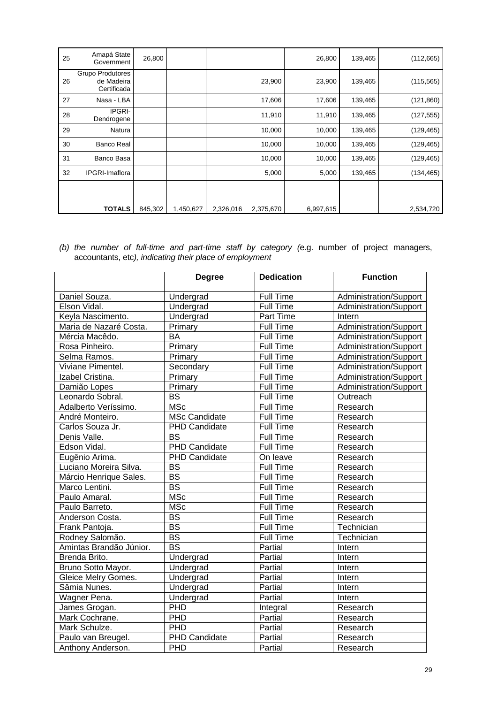| 25 | Amapá State<br>Government                            | 26,800  |           |           |           | 26,800    | 139,465 | (112, 665) |
|----|------------------------------------------------------|---------|-----------|-----------|-----------|-----------|---------|------------|
| 26 | <b>Grupo Produtores</b><br>de Madeira<br>Certificada |         |           |           | 23,900    | 23,900    | 139,465 | (115, 565) |
| 27 | Nasa - LBA                                           |         |           |           | 17,606    | 17,606    | 139,465 | (121, 860) |
| 28 | <b>IPGRI-</b><br>Dendrogene                          |         |           |           | 11,910    | 11,910    | 139,465 | (127, 555) |
| 29 | Natura                                               |         |           |           | 10,000    | 10,000    | 139,465 | (129, 465) |
| 30 | <b>Banco Real</b>                                    |         |           |           | 10,000    | 10,000    | 139,465 | (129, 465) |
| 31 | Banco Basa                                           |         |           |           | 10,000    | 10,000    | 139,465 | (129, 465) |
| 32 | <b>IPGRI-Imaflora</b>                                |         |           |           | 5,000     | 5,000     | 139,465 | (134, 465) |
|    |                                                      |         |           |           |           |           |         |            |
|    |                                                      |         |           |           |           |           |         |            |
|    | <b>TOTALS</b>                                        | 845,302 | 1,450,627 | 2,326,016 | 2,375,670 | 6,997,615 |         | 2,534,720  |

*<sup>(</sup>b) the number of full-time and part-time staff by category (*e.g. number of project managers, accountants, etc*), indicating their place of employment* 

|                         | <b>Degree</b>            | <b>Dedication</b> | <b>Function</b>        |
|-------------------------|--------------------------|-------------------|------------------------|
| Daniel Souza.           | Undergrad                | <b>Full Time</b>  | Administration/Support |
| Elson Vidal.            | Undergrad                | <b>Full Time</b>  | Administration/Support |
| Keyla Nascimento.       | Undergrad                | Part Time         | <b>Intern</b>          |
| Maria de Nazaré Costa.  | Primary                  | <b>Full Time</b>  | Administration/Support |
| Mércia Macêdo.          | <b>BA</b>                | <b>Full Time</b>  | Administration/Support |
| Rosa Pinheiro.          | Primary                  | Full Time         | Administration/Support |
| Selma Ramos.            | Primary                  | <b>Full Time</b>  | Administration/Support |
| Viviane Pimentel.       | Secondary                | <b>Full Time</b>  | Administration/Support |
| Izabel Cristina.        | Primary                  | <b>Full Time</b>  | Administration/Support |
| Damião Lopes            | Primary                  | <b>Full Time</b>  | Administration/Support |
| Leonardo Sobral.        | $\overline{\mathsf{BS}}$ | <b>Full Time</b>  | Outreach               |
| Adalberto Veríssimo.    | <b>MSc</b>               | <b>Full Time</b>  | Research               |
| André Monteiro.         | <b>MSc Candidate</b>     | <b>Full Time</b>  | Research               |
| Carlos Souza Jr.        | <b>PHD Candidate</b>     | <b>Full Time</b>  | Research               |
| Denis Valle.            | $\overline{\mathsf{BS}}$ | <b>Full Time</b>  | Research               |
| Edson Vidal.            | <b>PHD Candidate</b>     | <b>Full Time</b>  | Research               |
| Eugênio Arima.          | <b>PHD Candidate</b>     | On leave          | Research               |
| Luciano Moreira Silva.  | $\overline{\mathsf{BS}}$ | <b>Full Time</b>  | Research               |
| Márcio Henrique Sales.  | <b>BS</b>                | Full Time         | Research               |
| Marco Lentini.          | <b>BS</b>                | Full Time         | Research               |
| Paulo Amaral.           | <b>MSc</b>               | Full Time         | Research               |
| Paulo Barreto.          | <b>MSc</b>               | <b>Full Time</b>  | Research               |
| Anderson Costa.         | <b>BS</b>                | <b>Full Time</b>  | Research               |
| Frank Pantoja.          | <b>BS</b>                | <b>Full Time</b>  | Technician             |
| Rodney Salomão.         | $\overline{BS}$          | <b>Full Time</b>  | Technician             |
| Amintas Brandão Júnior. | $\overline{\mathsf{BS}}$ | Partial           | Intern                 |
| Brenda Brito.           | Undergrad                | Partial           | Intern                 |
| Bruno Sotto Mayor.      | Undergrad                | Partial           | Intern                 |
| Gleice Melry Gomes.     | Undergrad                | Partial           | Intern                 |
| Sâmia Nunes.            | Undergrad                | Partial           | Intern                 |
| Wagner Pena.            | Undergrad                | Partial           | Intern                 |
| James Grogan.           | PHD                      | Integral          | Research               |
| Mark Cochrane.          | PHD                      | Partial           | Research               |
| Mark Schulze.           | PHD                      | Partial           | Research               |
| Paulo van Breugel.      | <b>PHD Candidate</b>     | Partial           | Research               |
| Anthony Anderson.       | PHD                      | Partial           | Research               |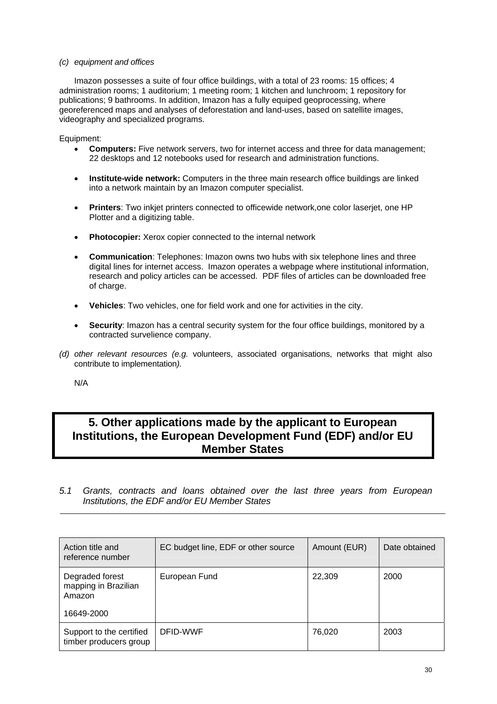## *(c) equipment and offices*

Imazon possesses a suite of four office buildings, with a total of 23 rooms: 15 offices; 4 administration rooms; 1 auditorium; 1 meeting room; 1 kitchen and lunchroom; 1 repository for publications; 9 bathrooms. In addition, Imazon has a fully equiped geoprocessing, where georeferenced maps and analyses of deforestation and land-uses, based on satellite images, videography and specialized programs.

Equipment:

- **Computers:** Five network servers, two for internet access and three for data management; 22 desktops and 12 notebooks used for research and administration functions.
- **Institute-wide network:** Computers in the three main research office buildings are linked into a network maintain by an Imazon computer specialist.
- **Printers**: Two inkjet printers connected to officewide network,one color laserjet, one HP Plotter and a digitizing table.
- **Photocopier:** Xerox copier connected to the internal network
- **Communication**: Telephones: Imazon owns two hubs with six telephone lines and three digital lines for internet access. Imazon operates a webpage where institutional information, research and policy articles can be accessed. PDF files of articles can be downloaded free of charge.
- **Vehicles**: Two vehicles, one for field work and one for activities in the city.
- **Security**: Imazon has a central security system for the four office buildings, monitored by a contracted survelience company.
- *(d) other relevant resources (e.g.* volunteers, associated organisations, networks that might also contribute to implementation*).*

N/A

# **5. Other applications made by the applicant to European Institutions, the European Development Fund (EDF) and/or EU Member States**

*5.1 Grants, contracts and loans obtained over the last three years from European Institutions, the EDF and/or EU Member States* 

| Action title and<br>reference number                            | EC budget line, EDF or other source | Amount (EUR) | Date obtained |
|-----------------------------------------------------------------|-------------------------------------|--------------|---------------|
| Degraded forest<br>mapping in Brazilian<br>Amazon<br>16649-2000 | European Fund                       | 22,309       | 2000          |
| Support to the certified<br>timber producers group              | DFID-WWF                            | 76,020       | 2003          |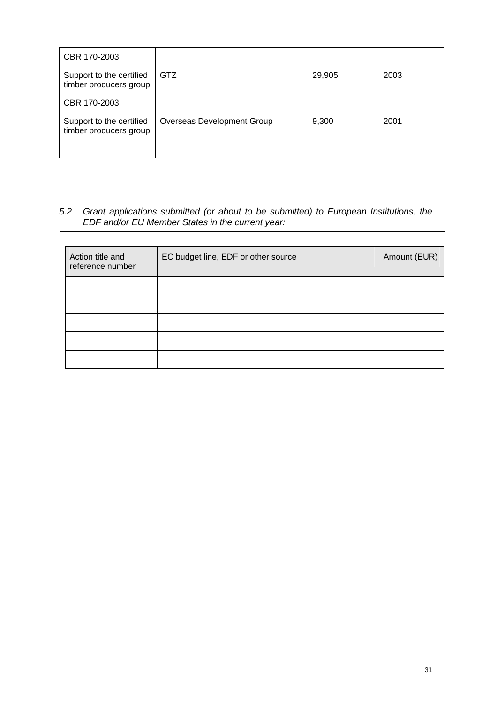| CBR 170-2003                                       |                            |        |      |
|----------------------------------------------------|----------------------------|--------|------|
| Support to the certified<br>timber producers group | GTZ                        | 29,905 | 2003 |
| CBR 170-2003                                       |                            |        |      |
| Support to the certified<br>timber producers group | Overseas Development Group | 9,300  | 2001 |

# *5.2 Grant applications submitted (or about to be submitted) to European Institutions, the EDF and/or EU Member States in the current year:*

| Action title and<br>reference number | EC budget line, EDF or other source | Amount (EUR) |
|--------------------------------------|-------------------------------------|--------------|
|                                      |                                     |              |
|                                      |                                     |              |
|                                      |                                     |              |
|                                      |                                     |              |
|                                      |                                     |              |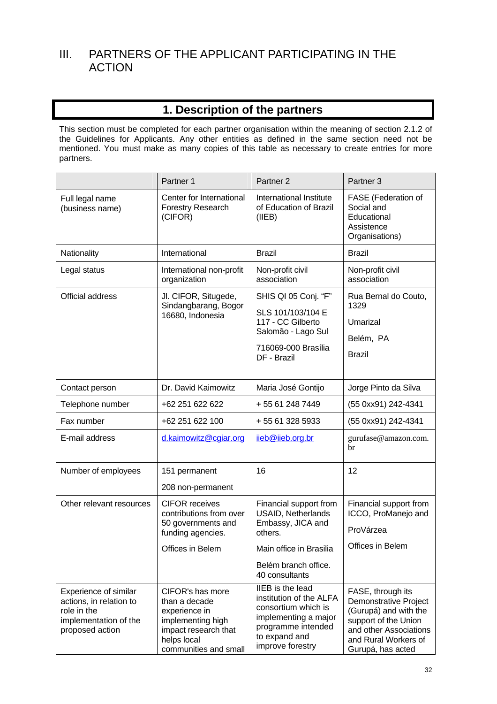# III. PARTNERS OF THE APPLICANT PARTICIPATING IN THE ACTION

# **1. Description of the partners**

This section must be completed for each partner organisation within the meaning of section 2.1.2 of the Guidelines for Applicants. Any other entities as defined in the same section need not be mentioned. You must make as many copies of this table as necessary to create entries for more partners.

|                                                                                                             | Partner 1                                                                                                                               | Partner <sub>2</sub>                                                                                                                                         | Partner <sub>3</sub>                                                                                                                                               |
|-------------------------------------------------------------------------------------------------------------|-----------------------------------------------------------------------------------------------------------------------------------------|--------------------------------------------------------------------------------------------------------------------------------------------------------------|--------------------------------------------------------------------------------------------------------------------------------------------------------------------|
| Full legal name<br>(business name)                                                                          | Center for International<br>Forestry Research<br>(CIFOR)                                                                                | International Institute<br>of Education of Brazil<br>(IIEB)                                                                                                  | FASE (Federation of<br>Social and<br>Educational<br>Assistence<br>Organisations)                                                                                   |
| Nationality                                                                                                 | International                                                                                                                           | <b>Brazil</b>                                                                                                                                                | <b>Brazil</b>                                                                                                                                                      |
| Legal status                                                                                                | International non-profit<br>organization                                                                                                | Non-profit civil<br>association                                                                                                                              | Non-profit civil<br>association                                                                                                                                    |
| Official address                                                                                            | Jl. CIFOR, Situgede,<br>Sindangbarang, Bogor<br>16680, Indonesia                                                                        | SHIS QI 05 Conj. "F"<br>SLS 101/103/104 E<br>117 - CC Gilberto<br>Salomão - Lago Sul<br>716069-000 Brasília<br>DF - Brazil                                   | Rua Bernal do Couto,<br>1329<br>Umarizal<br>Belém, PA<br><b>Brazil</b>                                                                                             |
| Contact person                                                                                              | Dr. David Kaimowitz                                                                                                                     | Maria José Gontijo                                                                                                                                           | Jorge Pinto da Silva                                                                                                                                               |
| Telephone number                                                                                            | +62 251 622 622                                                                                                                         | +55 61 248 7449                                                                                                                                              | (55 0xx91) 242-4341                                                                                                                                                |
| Fax number                                                                                                  | +62 251 622 100                                                                                                                         | +55 61 328 5933                                                                                                                                              | (55 0xx91) 242-4341                                                                                                                                                |
| E-mail address                                                                                              | d.kaimowitz@cgiar.org                                                                                                                   | iieb@iieb.org.br                                                                                                                                             | gurufase@amazon.com.<br>br                                                                                                                                         |
| Number of employees                                                                                         | 151 permanent<br>208 non-permanent                                                                                                      | 16                                                                                                                                                           | 12                                                                                                                                                                 |
| Other relevant resources                                                                                    | <b>CIFOR receives</b><br>contributions from over<br>50 governments and<br>funding agencies.<br>Offices in Belem                         | Financial support from<br><b>USAID, Netherlands</b><br>Embassy, JICA and<br>others.<br>Main office in Brasilia<br>Belém branch office.<br>40 consultants     | Financial support from<br>ICCO, ProManejo and<br>ProVárzea<br>Offices in Belem                                                                                     |
| Experience of similar<br>actions, in relation to<br>role in the<br>implementation of the<br>proposed action | CIFOR's has more<br>than a decade<br>experience in<br>implementing high<br>impact research that<br>helps local<br>communities and small | <b>IIEB</b> is the lead<br>institution of the ALFA<br>consortium which is<br>implementing a major<br>programme intended<br>to expand and<br>improve forestry | FASE, through its<br>Demonstrative Project<br>(Gurupá) and with the<br>support of the Union<br>and other Associations<br>and Rural Workers of<br>Gurupá, has acted |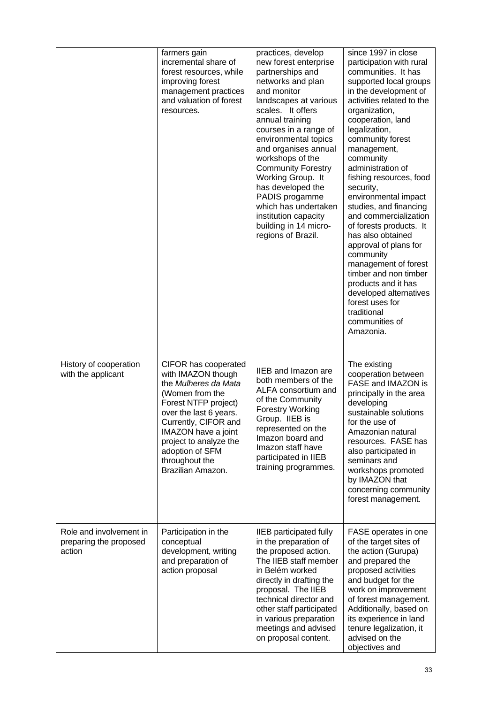|                                                             | farmers gain<br>incremental share of<br>forest resources, while<br>improving forest<br>management practices<br>and valuation of forest<br>resources.                                                                                                                       | practices, develop<br>new forest enterprise<br>partnerships and<br>networks and plan<br>and monitor<br>landscapes at various<br>scales. It offers<br>annual training<br>courses in a range of<br>environmental topics<br>and organises annual<br>workshops of the<br><b>Community Forestry</b><br>Working Group. It<br>has developed the<br>PADIS progamme<br>which has undertaken<br>institution capacity<br>building in 14 micro-<br>regions of Brazil. | since 1997 in close<br>participation with rural<br>communities. It has<br>supported local groups<br>in the development of<br>activities related to the<br>organization,<br>cooperation, land<br>legalization,<br>community forest<br>management,<br>community<br>administration of<br>fishing resources, food<br>security,<br>environmental impact<br>studies, and financing<br>and commercialization<br>of forests products. It<br>has also obtained<br>approval of plans for<br>community<br>management of forest<br>timber and non timber<br>products and it has<br>developed alternatives<br>forest uses for<br>traditional<br>communities of<br>Amazonia. |
|-------------------------------------------------------------|----------------------------------------------------------------------------------------------------------------------------------------------------------------------------------------------------------------------------------------------------------------------------|-----------------------------------------------------------------------------------------------------------------------------------------------------------------------------------------------------------------------------------------------------------------------------------------------------------------------------------------------------------------------------------------------------------------------------------------------------------|----------------------------------------------------------------------------------------------------------------------------------------------------------------------------------------------------------------------------------------------------------------------------------------------------------------------------------------------------------------------------------------------------------------------------------------------------------------------------------------------------------------------------------------------------------------------------------------------------------------------------------------------------------------|
| History of cooperation<br>with the applicant                | CIFOR has cooperated<br>with IMAZON though<br>the Mulheres da Mata<br>(Women from the<br>Forest NTFP project)<br>over the last 6 years.<br>Currently, CIFOR and<br>IMAZON have a joint<br>project to analyze the<br>adoption of SFM<br>throughout the<br>Brazilian Amazon. | <b>IIEB</b> and Imazon are<br>both members of the<br>ALFA consortium and<br>of the Community<br><b>Forestry Working</b><br>Group. IIEB is<br>represented on the<br>Imazon board and<br>Imazon staff have<br>participated in IIEB<br>training programmes.                                                                                                                                                                                                  | The existing<br>cooperation between<br>FASE and IMAZON is<br>principally in the area<br>developing<br>sustainable solutions<br>for the use of<br>Amazonian natural<br>resources. FASE has<br>also participated in<br>seminars and<br>workshops promoted<br>by IMAZON that<br>concerning community<br>forest management.                                                                                                                                                                                                                                                                                                                                        |
| Role and involvement in<br>preparing the proposed<br>action | Participation in the<br>conceptual<br>development, writing<br>and preparation of<br>action proposal                                                                                                                                                                        | <b>IIEB</b> participated fully<br>in the preparation of<br>the proposed action.<br>The IIEB staff member<br>in Belém worked<br>directly in drafting the<br>proposal. The IIEB<br>technical director and<br>other staff participated<br>in various preparation<br>meetings and advised<br>on proposal content.                                                                                                                                             | FASE operates in one<br>of the target sites of<br>the action (Gurupa)<br>and prepared the<br>proposed activities<br>and budget for the<br>work on improvement<br>of forest management.<br>Additionally, based on<br>its experience in land<br>tenure legalization, it<br>advised on the<br>objectives and                                                                                                                                                                                                                                                                                                                                                      |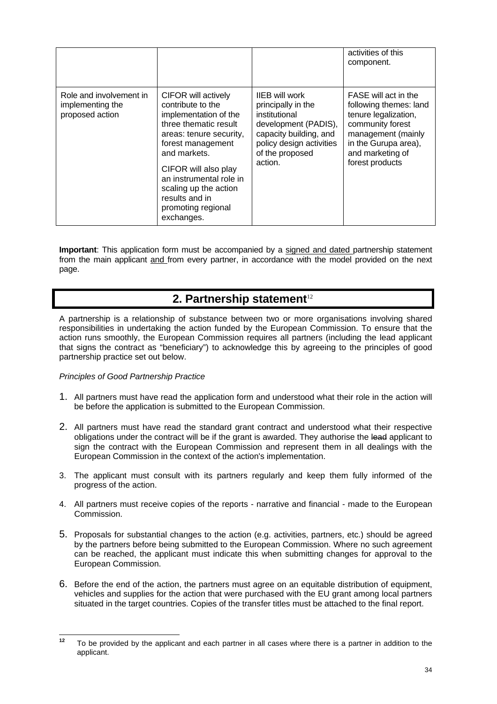|                                                                |                                                                                                                                                                                                                                                                                              |                                                                                                                                                                          | activities of this<br>component.                                                                                                                                                |
|----------------------------------------------------------------|----------------------------------------------------------------------------------------------------------------------------------------------------------------------------------------------------------------------------------------------------------------------------------------------|--------------------------------------------------------------------------------------------------------------------------------------------------------------------------|---------------------------------------------------------------------------------------------------------------------------------------------------------------------------------|
| Role and involvement in<br>implementing the<br>proposed action | CIFOR will actively<br>contribute to the<br>implementation of the<br>three thematic result<br>areas: tenure security,<br>forest management<br>and markets.<br>CIFOR will also play<br>an instrumental role in<br>scaling up the action<br>results and in<br>promoting regional<br>exchanges. | <b>IIEB</b> will work<br>principally in the<br>institutional<br>development (PADIS),<br>capacity building, and<br>policy design activities<br>of the proposed<br>action. | FASE will act in the<br>following themes: land<br>tenure legalization,<br>community forest<br>management (mainly<br>in the Gurupa area),<br>and marketing of<br>forest products |

**Important**: This application form must be accompanied by a signed and dated partnership statement from the main applicant and from every partner, in accordance with the model provided on the next page.

# **2. Partnership statement**<sup>12</sup>

A partnership is a relationship of substance between two or more organisations involving shared responsibilities in undertaking the action funded by the European Commission. To ensure that the action runs smoothly, the European Commission requires all partners (including the lead applicant that signs the contract as "beneficiary") to acknowledge this by agreeing to the principles of good partnership practice set out below.

# *Principles of Good Partnership Practice*

- 1. All partners must have read the application form and understood what their role in the action will be before the application is submitted to the European Commission.
- 2. All partners must have read the standard grant contract and understood what their respective obligations under the contract will be if the grant is awarded. They authorise the lead applicant to sign the contract with the European Commission and represent them in all dealings with the European Commission in the context of the action's implementation.
- 3. The applicant must consult with its partners regularly and keep them fully informed of the progress of the action.
- 4. All partners must receive copies of the reports narrative and financial made to the European Commission.
- 5. Proposals for substantial changes to the action (e.g. activities, partners, etc.) should be agreed by the partners before being submitted to the European Commission. Where no such agreement can be reached, the applicant must indicate this when submitting changes for approval to the European Commission.
- 6. Before the end of the action, the partners must agree on an equitable distribution of equipment, vehicles and supplies for the action that were purchased with the EU grant among local partners situated in the target countries. Copies of the transfer titles must be attached to the final report.

 $12$ **<sup>12</sup>** To be provided by the applicant and each partner in all cases where there is a partner in addition to the applicant.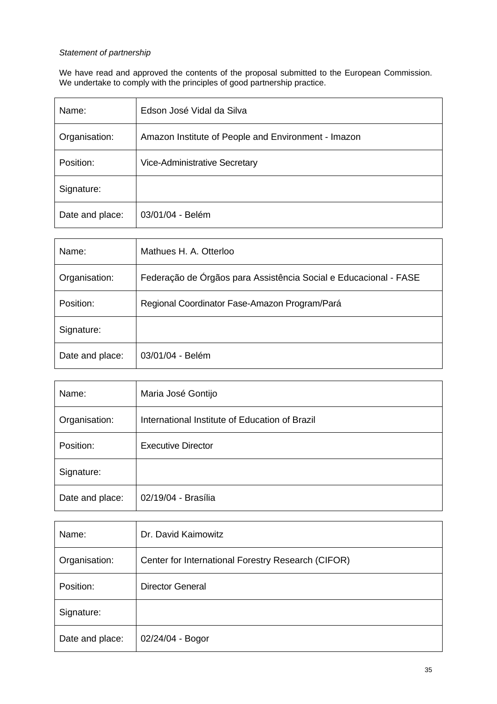# *Statement of partnership*

We have read and approved the contents of the proposal submitted to the European Commission. We undertake to comply with the principles of good partnership practice.

| Name:           | Edson José Vidal da Silva                           |
|-----------------|-----------------------------------------------------|
| Organisation:   | Amazon Institute of People and Environment - Imazon |
| Position:       | <b>Vice-Administrative Secretary</b>                |
| Signature:      |                                                     |
| Date and place: | 03/01/04 - Belém                                    |

| Name:           | Mathues H. A. Otterloo                                           |
|-----------------|------------------------------------------------------------------|
| Organisation:   | Federação de Órgãos para Assistência Social e Educacional - FASE |
| Position:       | Regional Coordinator Fase-Amazon Program/Pará                    |
| Signature:      |                                                                  |
| Date and place: | 03/01/04 - Belém                                                 |

| Name:           | Maria José Gontijo                             |
|-----------------|------------------------------------------------|
| Organisation:   | International Institute of Education of Brazil |
| Position:       | <b>Executive Director</b>                      |
| Signature:      |                                                |
| Date and place: | 02/19/04 - Brasília                            |

| Name:           | Dr. David Kaimowitz                                |
|-----------------|----------------------------------------------------|
| Organisation:   | Center for International Forestry Research (CIFOR) |
| Position:       | <b>Director General</b>                            |
| Signature:      |                                                    |
| Date and place: | 02/24/04 - Bogor                                   |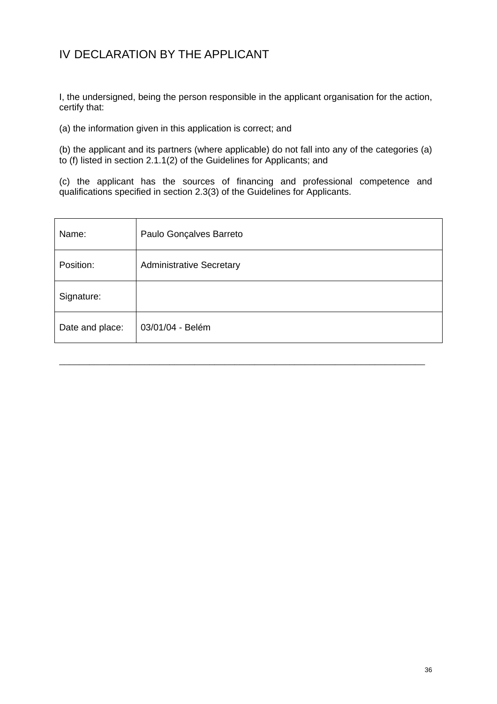# IV DECLARATION BY THE APPLICANT

I, the undersigned, being the person responsible in the applicant organisation for the action, certify that:

(a) the information given in this application is correct; and

(b) the applicant and its partners (where applicable) do not fall into any of the categories (a) to (f) listed in section 2.1.1(2) of the Guidelines for Applicants; and

(c) the applicant has the sources of financing and professional competence and qualifications specified in section 2.3(3) of the Guidelines for Applicants.

| Name:           | Paulo Gonçalves Barreto         |
|-----------------|---------------------------------|
| Position:       | <b>Administrative Secretary</b> |
| Signature:      |                                 |
| Date and place: | 03/01/04 - Belém                |

\_\_\_\_\_\_\_\_\_\_\_\_\_\_\_\_\_\_\_\_\_\_\_\_\_\_\_\_\_\_\_\_\_\_\_\_\_\_\_\_\_\_\_\_\_\_\_\_\_\_\_\_\_\_\_\_\_\_\_\_\_\_\_\_\_\_\_\_\_\_\_\_\_